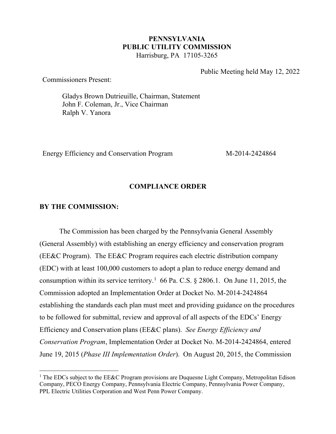# **PENNSYLVANIA PUBLIC UTILITY COMMISSION** Harrisburg, PA 17105-3265

Public Meeting held May 12, 2022

Commissioners Present:

Gladys Brown Dutrieuille, Chairman, Statement John F. Coleman, Jr., Vice Chairman Ralph V. Yanora

Energy Efficiency and Conservation Program M-2014-2424864

## **COMPLIANCE ORDER**

#### **BY THE COMMISSION:**

The Commission has been charged by the Pennsylvania General Assembly (General Assembly) with establishing an energy efficiency and conservation program (EE&C Program). The EE&C Program requires each electric distribution company (EDC) with at least 100,000 customers to adopt a plan to reduce energy demand and consumption within its service territory.<sup>[1](#page-0-0)</sup> 66 Pa. C.S. § 2806.1. On June 11, 2015, the Commission adopted an Implementation Order at Docket No. M-2014-2424864 establishing the standards each plan must meet and providing guidance on the procedures to be followed for submittal, review and approval of all aspects of the EDCs' Energy Efficiency and Conservation plans (EE&C plans). *See Energy Efficiency and Conservation Program*, Implementation Order at Docket No. M-2014-2424864, entered June 19, 2015 (*Phase III Implementation Order*). On August 20, 2015, the Commission

<span id="page-0-0"></span><sup>&</sup>lt;sup>1</sup> The EDCs subject to the EE&C Program provisions are Duquesne Light Company, Metropolitan Edison Company, PECO Energy Company, Pennsylvania Electric Company, Pennsylvania Power Company, PPL Electric Utilities Corporation and West Penn Power Company.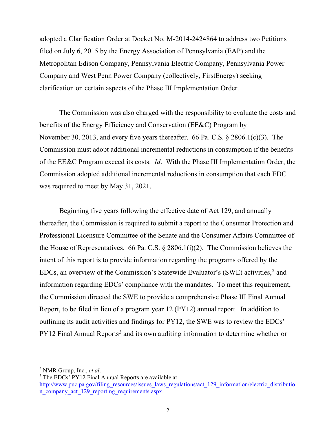adopted a Clarification Order at Docket No. M-2014-2424864 to address two Petitions filed on July 6, 2015 by the Energy Association of Pennsylvania (EAP) and the Metropolitan Edison Company, Pennsylvania Electric Company, Pennsylvania Power Company and West Penn Power Company (collectively, FirstEnergy) seeking clarification on certain aspects of the Phase III Implementation Order.

The Commission was also charged with the responsibility to evaluate the costs and benefits of the Energy Efficiency and Conservation (EE&C) Program by November 30, 2013, and every five years thereafter. 66 Pa. C.S. § 2806.1(c)(3). The Commission must adopt additional incremental reductions in consumption if the benefits of the EE&C Program exceed its costs. *Id*. With the Phase III Implementation Order, the Commission adopted additional incremental reductions in consumption that each EDC was required to meet by May 31, 2021.

Beginning five years following the effective date of Act 129, and annually thereafter, the Commission is required to submit a report to the Consumer Protection and Professional Licensure Committee of the Senate and the Consumer Affairs Committee of the House of Representatives. 66 Pa. C.S.  $\S 2806.1(i)(2)$ . The Commission believes the intent of this report is to provide information regarding the programs offered by the EDCs, an overview of the Commission's Statewide Evaluator's (SWE) activities,[2](#page-1-0) and information regarding EDCs' compliance with the mandates. To meet this requirement, the Commission directed the SWE to provide a comprehensive Phase III Final Annual Report, to be filed in lieu of a program year 12 (PY12) annual report. In addition to outlining its audit activities and findings for PY12, the SWE was to review the EDCs' PY12 Final Annual Reports<sup>[3](#page-1-1)</sup> and its own auditing information to determine whether or

<span id="page-1-0"></span><sup>2</sup> NMR Group, Inc., *et al*.

<span id="page-1-1"></span><sup>3</sup> The EDCs' PY12 Final Annual Reports are available at [http://www.puc.pa.gov/filing\\_resources/issues\\_laws\\_regulations/act\\_129\\_information/electric\\_distributio](http://www.puc.pa.gov/filing_resources/issues_laws_regulations/act_129_information/electric_distribution_company_act_129_reporting_requirements.aspx) [n\\_company\\_act\\_129\\_reporting\\_requirements.aspx.](http://www.puc.pa.gov/filing_resources/issues_laws_regulations/act_129_information/electric_distribution_company_act_129_reporting_requirements.aspx)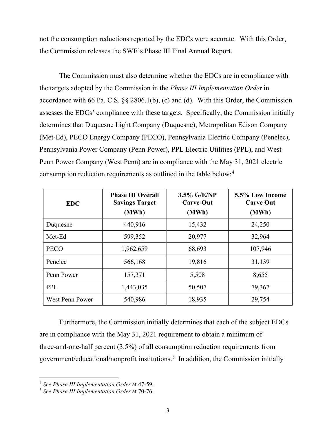not the consumption reductions reported by the EDCs were accurate. With this Order, the Commission releases the SWE's Phase III Final Annual Report.

The Commission must also determine whether the EDCs are in compliance with the targets adopted by the Commission in the *Phase III Implementation Orde*r in accordance with 66 Pa. C.S. §§ 2806.1(b), (c) and (d). With this Order, the Commission assesses the EDCs' compliance with these targets. Specifically, the Commission initially determines that Duquesne Light Company (Duquesne), Metropolitan Edison Company (Met-Ed), PECO Energy Company (PECO), Pennsylvania Electric Company (Penelec), Pennsylvania Power Company (Penn Power), PPL Electric Utilities (PPL), and West Penn Power Company (West Penn) are in compliance with the May 31, 2021 electric consumption reduction requirements as outlined in the table below:[4](#page-2-0)

| <b>EDC</b>      | <b>Phase III Overall</b><br><b>Savings Target</b><br>(MWh) | 3.5% G/E/NP<br>Carve-Out<br>(MWh) | 5.5% Low Income<br><b>Carve Out</b><br>(MWh) |
|-----------------|------------------------------------------------------------|-----------------------------------|----------------------------------------------|
| Duquesne        | 440,916                                                    | 15,432                            | 24,250                                       |
| Met-Ed          | 599,352                                                    | 20,977                            | 32,964                                       |
| <b>PECO</b>     | 1,962,659                                                  | 68,693                            | 107,946                                      |
| Penelec         | 566,168                                                    | 19,816                            | 31,139                                       |
| Penn Power      | 157,371                                                    | 5,508                             | 8,655                                        |
| <b>PPL</b>      | 1,443,035                                                  | 50,507                            | 79,367                                       |
| West Penn Power | 540,986                                                    | 18,935                            | 29,754                                       |

Furthermore, the Commission initially determines that each of the subject EDCs are in compliance with the May 31, 2021 requirement to obtain a minimum of three-and-one-half percent (3.5%) of all consumption reduction requirements from government/educational/nonprofit institutions. [5](#page-2-1) In addition, the Commission initially

<span id="page-2-0"></span><sup>4</sup> *See Phase III Implementation Order* at 47-59.

<span id="page-2-1"></span><sup>5</sup> *See Phase III Implementation Order* at 70-76.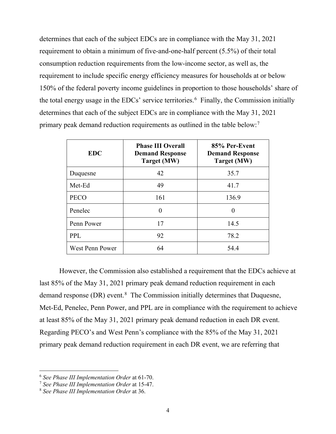determines that each of the subject EDCs are in compliance with the May 31, 2021 requirement to obtain a minimum of five-and-one-half percent (5.5%) of their total consumption reduction requirements from the low-income sector, as well as, the requirement to include specific energy efficiency measures for households at or below 150% of the federal poverty income guidelines in proportion to those households' share of the total energy usage in the EDCs' service territories.<sup>[6](#page-3-0)</sup> Finally, the Commission initially determines that each of the subject EDCs are in compliance with the May 31, 2021 primary peak demand reduction requirements as outlined in the table below:<sup>[7](#page-3-1)</sup>

| <b>EDC</b>             | <b>Phase III Overall</b><br><b>Demand Response</b><br><b>Target (MW)</b> | 85% Per-Event<br><b>Demand Response</b><br><b>Target (MW)</b> |
|------------------------|--------------------------------------------------------------------------|---------------------------------------------------------------|
| Duquesne               | 42                                                                       | 35.7                                                          |
| Met-Ed                 | 49                                                                       | 41.7                                                          |
| <b>PECO</b>            | 161                                                                      | 136.9                                                         |
| Penelec                | 0                                                                        | 0                                                             |
| Penn Power             | 17                                                                       | 14.5                                                          |
| <b>PPL</b>             | 92                                                                       | 78.2                                                          |
| <b>West Penn Power</b> | 64                                                                       | 54.4                                                          |

However, the Commission also established a requirement that the EDCs achieve at last 85% of the May 31, 2021 primary peak demand reduction requirement in each demand response (DR) event.<sup>[8](#page-3-2)</sup> The Commission initially determines that Duquesne, Met-Ed, Penelec, Penn Power, and PPL are in compliance with the requirement to achieve at least 85% of the May 31, 2021 primary peak demand reduction in each DR event. Regarding PECO's and West Penn's compliance with the 85% of the May 31, 2021 primary peak demand reduction requirement in each DR event, we are referring that

<span id="page-3-0"></span><sup>6</sup> *See Phase III Implementation Order* at 61-70.

<span id="page-3-1"></span><sup>7</sup> *See Phase III Implementation Order* at 15-47.

<span id="page-3-2"></span><sup>8</sup> *See Phase III Implementation Order* at 36.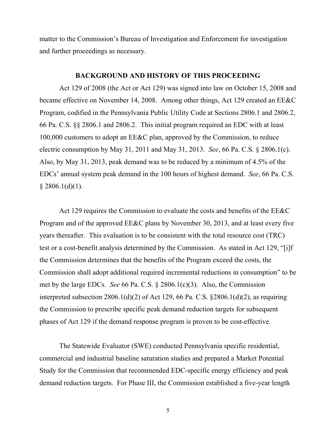matter to the Commission's Bureau of Investigation and Enforcement for investigation and further proceedings as necessary.

#### **BACKGROUND AND HISTORY OF THIS PROCEEDING**

Act 129 of 2008 (the Act or Act 129) was signed into law on October 15, 2008 and became effective on November 14, 2008. Among other things, Act 129 created an EE&C Program, codified in the Pennsylvania Public Utility Code at Sections 2806.1 and 2806.2, 66 Pa. C.S. §§ 2806.1 and 2806.2. This initial program required an EDC with at least 100,000 customers to adopt an EE&C plan, approved by the Commission, to reduce electric consumption by May 31, 2011 and May 31, 2013. *See*, 66 Pa. C.S. § 2806.1(c). Also, by May 31, 2013, peak demand was to be reduced by a minimum of 4.5% of the EDCs' annual system peak demand in the 100 hours of highest demand. *See*, 66 Pa. C.S.  $§$  2806.1(d)(1).

Act 129 requires the Commission to evaluate the costs and benefits of the EE&C Program and of the approved EE&C plans by November 30, 2013, and at least every five years thereafter. This evaluation is to be consistent with the total resource cost (TRC) test or a cost-benefit analysis determined by the Commission. As stated in Act 129, "[i]f the Commission determines that the benefits of the Program exceed the costs, the Commission shall adopt additional required incremental reductions in consumption" to be met by the large EDCs. *See* 66 Pa. C.S. § 2806.1(c)(3). Also, the Commission interpreted subsection  $2806.1(d)(2)$  of Act 129, 66 Pa. C.S.  $\S 2806.1(d)(2)$ , as requiring the Commission to prescribe specific peak demand reduction targets for subsequent phases of Act 129 if the demand response program is proven to be cost-effective.

The Statewide Evaluator (SWE) conducted Pennsylvania specific residential, commercial and industrial baseline saturation studies and prepared a Market Potential Study for the Commission that recommended EDC-specific energy efficiency and peak demand reduction targets. For Phase III, the Commission established a five-year length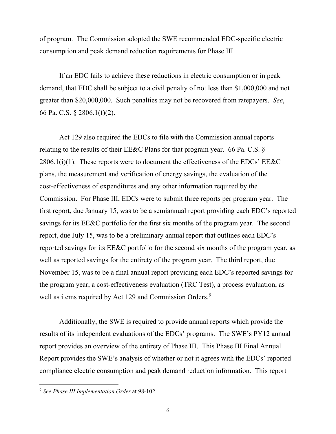of program. The Commission adopted the SWE recommended EDC-specific electric consumption and peak demand reduction requirements for Phase III.

If an EDC fails to achieve these reductions in electric consumption or in peak demand, that EDC shall be subject to a civil penalty of not less than \$1,000,000 and not greater than \$20,000,000. Such penalties may not be recovered from ratepayers. *See*, 66 Pa. C.S. § 2806.1(f)(2).

Act 129 also required the EDCs to file with the Commission annual reports relating to the results of their EE&C Plans for that program year. 66 Pa. C.S. §  $2806.1(i)(1)$ . These reports were to document the effectiveness of the EDCs' EE&C plans, the measurement and verification of energy savings, the evaluation of the cost-effectiveness of expenditures and any other information required by the Commission. For Phase III, EDCs were to submit three reports per program year. The first report, due January 15, was to be a semiannual report providing each EDC's reported savings for its EE&C portfolio for the first six months of the program year. The second report, due July 15, was to be a preliminary annual report that outlines each EDC's reported savings for its EE&C portfolio for the second six months of the program year, as well as reported savings for the entirety of the program year. The third report, due November 15, was to be a final annual report providing each EDC's reported savings for the program year, a cost-effectiveness evaluation (TRC Test), a process evaluation, as well as items required by Act 12[9](#page-5-0) and Commission Orders.<sup>9</sup>

Additionally, the SWE is required to provide annual reports which provide the results of its independent evaluations of the EDCs' programs. The SWE's PY12 annual report provides an overview of the entirety of Phase III. This Phase III Final Annual Report provides the SWE's analysis of whether or not it agrees with the EDCs' reported compliance electric consumption and peak demand reduction information. This report

<span id="page-5-0"></span><sup>9</sup> *See Phase III Implementation Order* at 98-102.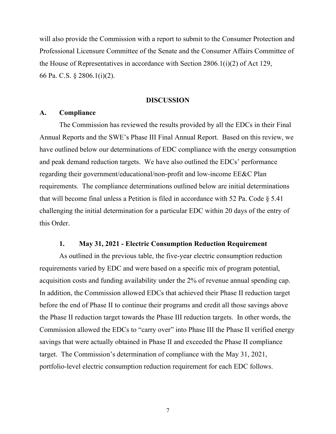will also provide the Commission with a report to submit to the Consumer Protection and Professional Licensure Committee of the Senate and the Consumer Affairs Committee of the House of Representatives in accordance with Section 2806.1(i)(2) of Act 129, 66 Pa. C.S. § 2806.1(i)(2).

#### **DISCUSSION**

## **A. Compliance**

The Commission has reviewed the results provided by all the EDCs in their Final Annual Reports and the SWE's Phase III Final Annual Report. Based on this review, we have outlined below our determinations of EDC compliance with the energy consumption and peak demand reduction targets. We have also outlined the EDCs' performance regarding their government/educational/non-profit and low-income EE&C Plan requirements. The compliance determinations outlined below are initial determinations that will become final unless a Petition is filed in accordance with 52 Pa. Code  $\S$  5.41 challenging the initial determination for a particular EDC within 20 days of the entry of this Order.

#### **1. May 31, 2021 - Electric Consumption Reduction Requirement**

As outlined in the previous table, the five-year electric consumption reduction requirements varied by EDC and were based on a specific mix of program potential, acquisition costs and funding availability under the 2% of revenue annual spending cap. In addition, the Commission allowed EDCs that achieved their Phase II reduction target before the end of Phase II to continue their programs and credit all those savings above the Phase II reduction target towards the Phase III reduction targets. In other words, the Commission allowed the EDCs to "carry over" into Phase III the Phase II verified energy savings that were actually obtained in Phase II and exceeded the Phase II compliance target. The Commission's determination of compliance with the May 31, 2021, portfolio-level electric consumption reduction requirement for each EDC follows.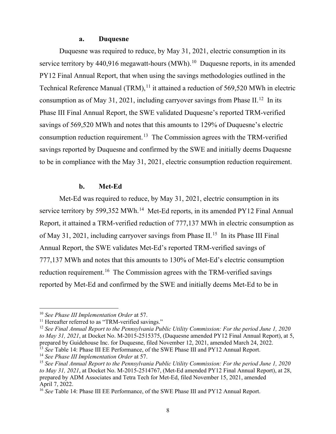#### **a. Duquesne**

Duquesne was required to reduce, by May 31, 2021, electric consumption in its service territory by  $440,916$  megawatt-hours (MWh).<sup>[10](#page-7-0)</sup> Duquesne reports, in its amended PY12 Final Annual Report, that when using the savings methodologies outlined in the Technical Reference Manual  $(TRM)$ ,<sup>[11](#page-7-1)</sup> it attained a reduction of 569,520 MWh in electric consumption as of May 31, 2021, including carryover savings from Phase II.<sup>[12](#page-7-2)</sup> In its Phase III Final Annual Report, the SWE validated Duquesne's reported TRM-verified savings of 569,520 MWh and notes that this amounts to 129% of Duquesne's electric consumption reduction requirement.<sup>[13](#page-7-3)</sup> The Commission agrees with the TRM-verified savings reported by Duquesne and confirmed by the SWE and initially deems Duquesne to be in compliance with the May 31, 2021, electric consumption reduction requirement.

#### **b. Met-Ed**

Met-Ed was required to reduce, by May 31, 2021, electric consumption in its service territory by 599,352 MWh.<sup>[14](#page-7-4)</sup> Met-Ed reports, in its amended PY12 Final Annual Report, it attained a TRM-verified reduction of 777,137 MWh in electric consumption as of May 31, 2021, including carryover savings from Phase II.<sup>[15](#page-7-5)</sup> In its Phase III Final Annual Report, the SWE validates Met-Ed's reported TRM-verified savings of 777,137 MWh and notes that this amounts to 130% of Met-Ed's electric consumption reduction requirement.<sup>16</sup> The Commission agrees with the TRM-verified savings reported by Met-Ed and confirmed by the SWE and initially deems Met-Ed to be in

<span id="page-7-0"></span><sup>10</sup> *See Phase III Implementation Order* at 57.

<span id="page-7-1"></span><sup>&</sup>lt;sup>11</sup> Hereafter referred to as "TRM-verified savings."

<span id="page-7-2"></span><sup>12</sup> *See Final Annual Report to the Pennsylvania Public Utility Commission: For the period June 1, 2020 to May 31, 2021*, at Docket No. M-2015-2515375, (Duquesne amended PY12 Final Annual Report), at 5, prepared by Guidehouse Inc. for Duquesne, filed November 12, 2021, amended March 24, 2022. <sup>13</sup> *See* Table 14: Phase III EE Performance, of the SWE Phase III and PY12 Annual Report.

<span id="page-7-4"></span><span id="page-7-3"></span><sup>14</sup> *See Phase III Implementation Order* at 57.

<span id="page-7-5"></span><sup>15</sup> *See Final Annual Report to the Pennsylvania Public Utility Commission: For the period June 1, 2020 to May 31, 2021*, at Docket No. M-2015-2514767, (Met-Ed amended PY12 Final Annual Report), at 28, prepared by ADM Associates and Tetra Tech for Met-Ed, filed November 15, 2021, amended April 7, 2022.

<span id="page-7-6"></span><sup>&</sup>lt;sup>16</sup> See Table 14: Phase III EE Performance, of the SWE Phase III and PY12 Annual Report.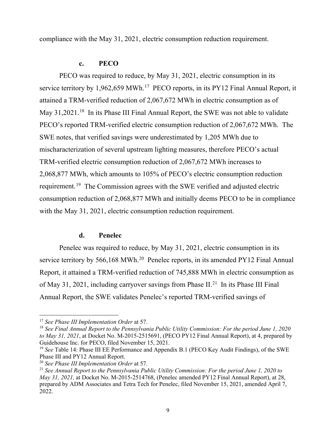compliance with the May 31, 2021, electric consumption reduction requirement.

# **c. PECO**

PECO was required to reduce, by May 31, 2021, electric consumption in its service territory by 1,962,659 MWh.<sup>[17](#page-8-0)</sup> PECO reports, in its PY12 Final Annual Report, it attained a TRM-verified reduction of 2,067,672 MWh in electric consumption as of May 31,2021.<sup>18</sup> In its Phase III Final Annual Report, the SWE was not able to validate PECO's reported TRM-verified electric consumption reduction of 2,067,672 MWh. The SWE notes, that verified savings were underestimated by 1,205 MWh due to mischaracterization of several upstream lighting measures, therefore PECO's actual TRM-verified electric consumption reduction of 2,067,672 MWh increases to 2,068,877 MWh, which amounts to 105% of PECO's electric consumption reduction requirement.<sup>[19](#page-8-2)</sup> The Commission agrees with the SWE verified and adjusted electric consumption reduction of 2,068,877 MWh and initially deems PECO to be in compliance with the May 31, 2021, electric consumption reduction requirement.

### **d. Penelec**

Penelec was required to reduce, by May 31, 2021, electric consumption in its service territory by 566,168 MWh.<sup>[20](#page-8-3)</sup> Penelec reports, in its amended PY12 Final Annual Report, it attained a TRM-verified reduction of 745,888 MWh in electric consumption as of May 31, 20[21](#page-8-4), including carryover savings from Phase II.<sup>21</sup> In its Phase III Final Annual Report, the SWE validates Penelec's reported TRM-verified savings of

<span id="page-8-0"></span><sup>17</sup> *See Phase III Implementation Order* at 57.

<span id="page-8-1"></span><sup>18</sup> *See Final Annual Report to the Pennsylvania Public Utility Commission: For the period June 1, 2020 to May 31, 2021*, at Docket No. M-2015-2515691, (PECO PY12 Final Annual Report), at 4, prepared by Guidehouse Inc. for PECO, filed November 15, 2021.

<span id="page-8-2"></span><sup>&</sup>lt;sup>19</sup> See Table 14: Phase III EE Performance and Appendix B.1 (PECO Key Audit Findings), of the SWE Phase III and PY12 Annual Report.

<span id="page-8-3"></span><sup>20</sup> *See Phase III Implementation Order* at 57.

<span id="page-8-4"></span><sup>21</sup> *See Annual Report to the Pennsylvania Public Utility Commission: For the period June 1, 2020 to May 31, 2021,* at Docket No. M-2015-2514768, (Penelec amended PY12 Final Annual Report), at 28, prepared by ADM Associates and Tetra Tech for Penelec, filed November 15, 2021, amended April 7, 2022.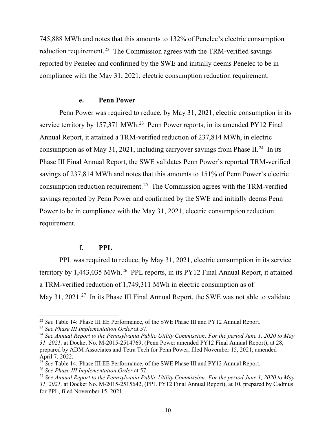745,888 MWh and notes that this amounts to 132% of Penelec's electric consumption reduction requirement.<sup>22</sup> The Commission agrees with the TRM-verified savings reported by Penelec and confirmed by the SWE and initially deems Penelec to be in compliance with the May 31, 2021, electric consumption reduction requirement.

#### **e. Penn Power**

Penn Power was required to reduce, by May 31, 2021, electric consumption in its service territory by 157,371 MWh.<sup>[23](#page-9-1)</sup> Penn Power reports, in its amended PY12 Final Annual Report, it attained a TRM-verified reduction of 237,814 MWh, in electric consumption as of May 31, 2021, including carryover savings from Phase II.<sup>[24](#page-9-2)</sup> In its Phase III Final Annual Report, the SWE validates Penn Power's reported TRM-verified savings of 237,814 MWh and notes that this amounts to 151% of Penn Power's electric consumption reduction requirement.<sup>[25](#page-9-3)</sup> The Commission agrees with the TRM-verified savings reported by Penn Power and confirmed by the SWE and initially deems Penn Power to be in compliance with the May 31, 2021, electric consumption reduction requirement.

# **f. PPL**

PPL was required to reduce, by May 31, 2021, electric consumption in its service territory by 1,443,035 MWh.<sup>[26](#page-9-4)</sup> PPL reports, in its PY12 Final Annual Report, it attained a TRM-verified reduction of 1,749,311 MWh in electric consumption as of May 31, 2021.<sup>27</sup> In its Phase III Final Annual Report, the SWE was not able to validate

<span id="page-9-0"></span><sup>22</sup> *See* Table 14: Phase III EE Performance, of the SWE Phase III and PY12 Annual Report.

<span id="page-9-1"></span><sup>23</sup> *See Phase III Implementation Order* at 57.

<span id="page-9-2"></span><sup>&</sup>lt;sup>24</sup> See Annual Report to the Pennsylvania Public Utility Commission: For the period June 1, 2020 to May *31, 2021,* at Docket No. M-2015-2514769, (Penn Power amended PY12 Final Annual Report), at 28, prepared by ADM Associates and Tetra Tech for Penn Power, filed November 15, 2021, amended April 7, 2022.

<span id="page-9-3"></span><sup>&</sup>lt;sup>25</sup> See Table 14: Phase III EE Performance, of the SWE Phase III and PY12 Annual Report.

<span id="page-9-4"></span><sup>26</sup> *See Phase III Implementation Order* at 57.

<span id="page-9-5"></span><sup>27</sup> *See Annual Report to the Pennsylvania Public Utility Commission: For the period June 1, 2020 to May 31, 2021,* at Docket No. M-2015-2515642, (PPL PY12 Final Annual Report), at 10, prepared by Cadmus for PPL, filed November 15, 2021.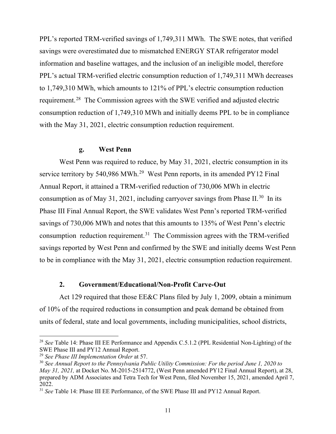PPL's reported TRM-verified savings of 1,749,311 MWh. The SWE notes, that verified savings were overestimated due to mismatched ENERGY STAR refrigerator model information and baseline wattages, and the inclusion of an ineligible model, therefore PPL's actual TRM-verified electric consumption reduction of 1,749,311 MWh decreases to 1,749,310 MWh, which amounts to 121% of PPL's electric consumption reduction requirement.<sup>[28](#page-10-0)</sup> The Commission agrees with the SWE verified and adjusted electric consumption reduction of 1,749,310 MWh and initially deems PPL to be in compliance with the May 31, 2021, electric consumption reduction requirement.

### **g. West Penn**

West Penn was required to reduce, by May 31, 2021, electric consumption in its service territory by 540,986 MWh.<sup>[29](#page-10-1)</sup> West Penn reports, in its amended PY12 Final Annual Report, it attained a TRM-verified reduction of 730,006 MWh in electric consumption as of May 31, 2021, including carryover savings from Phase II.<sup>[30](#page-10-2)</sup> In its Phase III Final Annual Report, the SWE validates West Penn's reported TRM-verified savings of 730,006 MWh and notes that this amounts to 135% of West Penn's electric consumption reduction requirement.<sup>[31](#page-10-3)</sup> The Commission agrees with the TRM-verified savings reported by West Penn and confirmed by the SWE and initially deems West Penn to be in compliance with the May 31, 2021, electric consumption reduction requirement.

### **2. Government/Educational/Non-Profit Carve-Out**

Act 129 required that those EE&C Plans filed by July 1, 2009, obtain a minimum of 10% of the required reductions in consumption and peak demand be obtained from units of federal, state and local governments, including municipalities, school districts,

<span id="page-10-0"></span><sup>28</sup> *See* Table 14: Phase III EE Performance and Appendix C.5.1.2 (PPL Residential Non-Lighting) of the SWE Phase III and PY12 Annual Report.

<span id="page-10-1"></span><sup>29</sup> *See Phase III Implementation Order* at 57.

<span id="page-10-2"></span><sup>30</sup> *See Annual Report to the Pennsylvania Public Utility Commission: For the period June 1, 2020 to May 31, 2021,* at Docket No. M-2015-2514772, (West Penn amended PY12 Final Annual Report), at 28, prepared by ADM Associates and Tetra Tech for West Penn, filed November 15, 2021, amended April 7, 2022.

<span id="page-10-3"></span><sup>31</sup> *See* Table 14: Phase III EE Performance, of the SWE Phase III and PY12 Annual Report.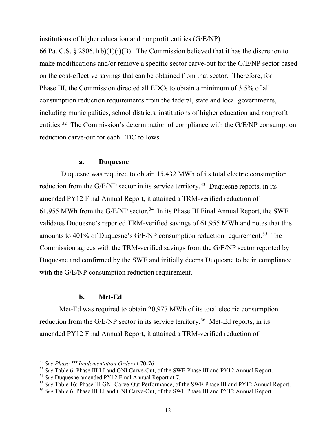institutions of higher education and nonprofit entities (G/E/NP).

66 Pa. C.S. § 2806.1(b)(1)(i)(B). The Commission believed that it has the discretion to make modifications and/or remove a specific sector carve-out for the G/E/NP sector based on the cost-effective savings that can be obtained from that sector. Therefore, for Phase III, the Commission directed all EDCs to obtain a minimum of 3.5% of all consumption reduction requirements from the federal, state and local governments, including municipalities, school districts, institutions of higher education and nonprofit entities.<sup>32</sup> The Commission's determination of compliance with the  $G/E/NP$  consumption reduction carve-out for each EDC follows.

#### **a. Duquesne**

Duquesne was required to obtain 15,432 MWh of its total electric consumption reduction from the  $G/E/NP$  sector in its service territory.<sup>33</sup> Duquesne reports, in its amended PY12 Final Annual Report, it attained a TRM-verified reduction of 61,955 MWh from the G/E/NP sector.<sup>[34](#page-11-2)</sup> In its Phase III Final Annual Report, the SWE validates Duquesne's reported TRM-verified savings of 61,955 MWh and notes that this amounts to 401% of Duquesne's G/E/NP consumption reduction requirement.<sup>[35](#page-11-3)</sup> The Commission agrees with the TRM-verified savings from the G/E/NP sector reported by Duquesne and confirmed by the SWE and initially deems Duquesne to be in compliance with the G/E/NP consumption reduction requirement.

### **b. Met-Ed**

Met-Ed was required to obtain 20,977 MWh of its total electric consumption reduction from the G/E/NP sector in its service territory.<sup>36</sup> Met-Ed reports, in its amended PY12 Final Annual Report, it attained a TRM-verified reduction of

<span id="page-11-0"></span><sup>32</sup> *See Phase III Implementation Order* at 70-76.

<span id="page-11-1"></span><sup>33</sup> *See* Table 6: Phase III LI and GNI Carve-Out, of the SWE Phase III and PY12 Annual Report.

<span id="page-11-2"></span><sup>34</sup> *See* Duquesne amended PY12 Final Annual Report at 7.

<span id="page-11-3"></span><sup>&</sup>lt;sup>35</sup> See Table 16: Phase III GNI Carve-Out Performance, of the SWE Phase III and PY12 Annual Report.

<span id="page-11-4"></span><sup>36</sup> *See* Table 6: Phase III LI and GNI Carve-Out, of the SWE Phase III and PY12 Annual Report.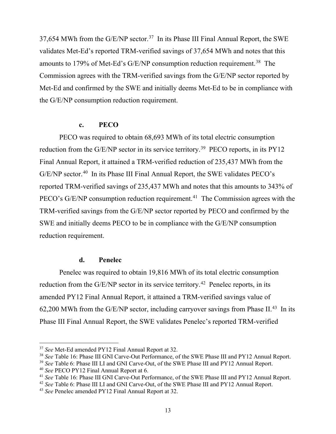[37](#page-12-0),654 MWh from the G/E/NP sector.<sup>37</sup> In its Phase III Final Annual Report, the SWE validates Met-Ed's reported TRM-verified savings of 37,654 MWh and notes that this amounts to 179% of Met-Ed's G/E/NP consumption reduction requirement.<sup>[38](#page-12-1)</sup> The Commission agrees with the TRM-verified savings from the G/E/NP sector reported by Met-Ed and confirmed by the SWE and initially deems Met-Ed to be in compliance with the G/E/NP consumption reduction requirement.

#### **c. PECO**

PECO was required to obtain 68,693 MWh of its total electric consumption reduction from the G/E/NP sector in its service territory.<sup>39</sup> PECO reports, in its PY12 Final Annual Report, it attained a TRM-verified reduction of 235,437 MWh from the G/E/NP sector.<sup>40</sup> In its Phase III Final Annual Report, the SWE validates PECO's reported TRM-verified savings of 235,437 MWh and notes that this amounts to 343% of PECO's G/E/NP consumption reduction requirement.<sup>[41](#page-12-4)</sup> The Commission agrees with the TRM-verified savings from the G/E/NP sector reported by PECO and confirmed by the SWE and initially deems PECO to be in compliance with the G/E/NP consumption reduction requirement.

# **d. Penelec**

Penelec was required to obtain 19,816 MWh of its total electric consumption reduction from the G/E/NP sector in its service territory.<sup>42</sup> Penelec reports, in its amended PY12 Final Annual Report, it attained a TRM-verified savings value of 62,200 MWh from the G/E/NP sector, including carryover savings from Phase II.<sup>[43](#page-12-6)</sup> In its Phase III Final Annual Report, the SWE validates Penelec's reported TRM-verified

<span id="page-12-0"></span><sup>37</sup> *See* Met-Ed amended PY12 Final Annual Report at 32.

<span id="page-12-1"></span><sup>&</sup>lt;sup>38</sup> See Table 16: Phase III GNI Carve-Out Performance, of the SWE Phase III and PY12 Annual Report.

<span id="page-12-2"></span><sup>39</sup> *See* Table 6: Phase III LI and GNI Carve-Out, of the SWE Phase III and PY12 Annual Report.

<span id="page-12-3"></span><sup>40</sup> *See* PECO PY12 Final Annual Report at 6.

<span id="page-12-4"></span><sup>41</sup> *See* Table 16: Phase III GNI Carve-Out Performance, of the SWE Phase III and PY12 Annual Report.

<span id="page-12-5"></span><sup>42</sup> *See* Table 6: Phase III LI and GNI Carve-Out, of the SWE Phase III and PY12 Annual Report.

<span id="page-12-6"></span><sup>43</sup> *See* Penelec amended PY12 Final Annual Report at 32.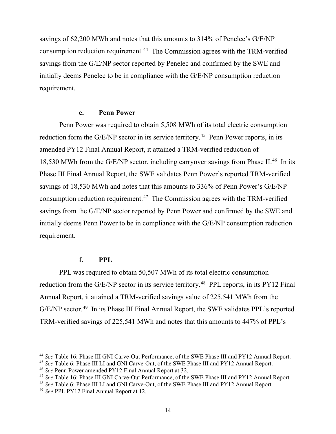savings of 62,200 MWh and notes that this amounts to 314% of Penelec's G/E/NP consumption reduction requirement. [44](#page-13-0) The Commission agrees with the TRM-verified savings from the G/E/NP sector reported by Penelec and confirmed by the SWE and initially deems Penelec to be in compliance with the G/E/NP consumption reduction requirement.

# **e. Penn Power**

Penn Power was required to obtain 5,508 MWh of its total electric consumption reduction form the G/E/NP sector in its service territory.<sup>45</sup> Penn Power reports, in its amended PY12 Final Annual Report, it attained a TRM-verified reduction of 18,530 MWh from the G/E/NP sector, including carryover savings from Phase II.<sup>[46](#page-13-2)</sup> In its Phase III Final Annual Report, the SWE validates Penn Power's reported TRM-verified savings of 18,530 MWh and notes that this amounts to 336% of Penn Power's G/E/NP consumption reduction requirement. [47](#page-13-3) The Commission agrees with the TRM-verified savings from the G/E/NP sector reported by Penn Power and confirmed by the SWE and initially deems Penn Power to be in compliance with the G/E/NP consumption reduction requirement.

# **f. PPL**

PPL was required to obtain 50,507 MWh of its total electric consumption reduction from the G/E/NP sector in its service territory.<sup>48</sup> PPL reports, in its PY12 Final Annual Report, it attained a TRM-verified savings value of 225,541 MWh from the G/E/NP sector.<sup>49</sup> In its Phase III Final Annual Report, the SWE validates PPL's reported TRM-verified savings of 225,541 MWh and notes that this amounts to 447% of PPL's

<span id="page-13-0"></span><sup>44</sup> *See* Table 16: Phase III GNI Carve-Out Performance, of the SWE Phase III and PY12 Annual Report.

<span id="page-13-1"></span><sup>45</sup> *See* Table 6: Phase III LI and GNI Carve-Out, of the SWE Phase III and PY12 Annual Report.

<span id="page-13-2"></span><sup>46</sup> *See* Penn Power amended PY12 Final Annual Report at 32.

<span id="page-13-3"></span><sup>47</sup> *See* Table 16: Phase III GNI Carve-Out Performance, of the SWE Phase III and PY12 Annual Report.

<span id="page-13-4"></span><sup>48</sup> *See* Table 6: Phase III LI and GNI Carve-Out, of the SWE Phase III and PY12 Annual Report.

<span id="page-13-5"></span><sup>49</sup> *See* PPL PY12 Final Annual Report at 12.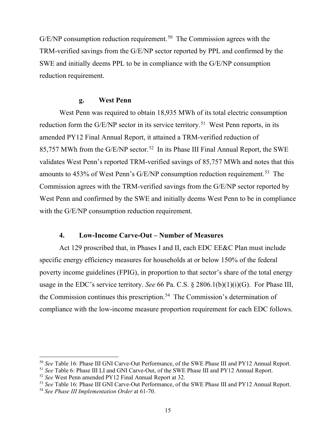$G/E/NP$  consumption reduction requirement.<sup>[50](#page-14-0)</sup> The Commission agrees with the TRM-verified savings from the G/E/NP sector reported by PPL and confirmed by the SWE and initially deems PPL to be in compliance with the G/E/NP consumption reduction requirement.

# **g. West Penn**

West Penn was required to obtain 18,935 MWh of its total electric consumption reduction form the G/E/NP sector in its service territory.<sup>51</sup> West Penn reports, in its amended PY12 Final Annual Report, it attained a TRM-verified reduction of 85,757 MWh from the G/E/NP sector.<sup>[52](#page-14-2)</sup> In its Phase III Final Annual Report, the SWE validates West Penn's reported TRM-verified savings of 85,757 MWh and notes that this amounts to 4[53](#page-14-3)% of West Penn's G/E/NP consumption reduction requirement.<sup>53</sup> The Commission agrees with the TRM-verified savings from the G/E/NP sector reported by West Penn and confirmed by the SWE and initially deems West Penn to be in compliance with the G/E/NP consumption reduction requirement.

# **4. Low-Income Carve-Out – Number of Measures**

Act 129 proscribed that, in Phases I and II, each EDC EE&C Plan must include specific energy efficiency measures for households at or below 150% of the federal poverty income guidelines (FPIG), in proportion to that sector's share of the total energy usage in the EDC's service territory. *See* 66 Pa. C.S. § 2806.1(b)(1)(i)(G). For Phase III, the Commission continues this prescription.<sup>54</sup> The Commission's determination of compliance with the low-income measure proportion requirement for each EDC follows.

<span id="page-14-0"></span><sup>50</sup> *See* Table 16: Phase III GNI Carve-Out Performance, of the SWE Phase III and PY12 Annual Report.

<span id="page-14-1"></span><sup>51</sup> *See* Table 6: Phase III LI and GNI Carve-Out, of the SWE Phase III and PY12 Annual Report.

<span id="page-14-2"></span><sup>52</sup> *See* West Penn amended PY12 Final Annual Report at 32.

<span id="page-14-3"></span><sup>53</sup> *See* Table 16: Phase III GNI Carve-Out Performance, of the SWE Phase III and PY12 Annual Report.

<span id="page-14-4"></span><sup>54</sup> *See Phase III Implementation Order* at 61-70.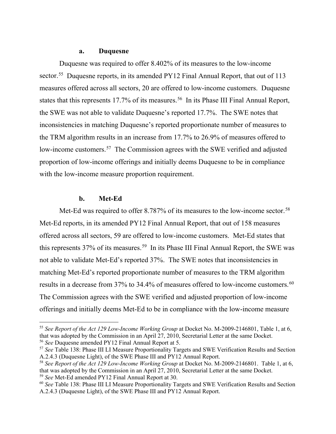#### **a. Duquesne**

Duquesne was required to offer 8.402% of its measures to the low-income sector.<sup>[55](#page-15-0)</sup> Duquesne reports, in its amended PY12 Final Annual Report, that out of 113 measures offered across all sectors, 20 are offered to low-income customers. Duquesne states that this represents 17.7% of its measures.<sup>[56](#page-15-1)</sup> In its Phase III Final Annual Report, the SWE was not able to validate Duquesne's reported 17.7%. The SWE notes that inconsistencies in matching Duquesne's reported proportionate number of measures to the TRM algorithm results in an increase from 17.7% to 26.9% of measures offered to low-income customers.<sup>[57](#page-15-2)</sup> The Commission agrees with the SWE verified and adjusted proportion of low-income offerings and initially deems Duquesne to be in compliance with the low-income measure proportion requirement.

### **b. Met-Ed**

Met-Ed was required to offer 8.787% of its measures to the low-income sector.<sup>58</sup> Met-Ed reports, in its amended PY12 Final Annual Report, that out of 158 measures offered across all sectors, 59 are offered to low-income customers. Met-Ed states that this represents  $37\%$  of its measures.<sup>[59](#page-15-4)</sup> In its Phase III Final Annual Report, the SWE was not able to validate Met-Ed's reported 37%. The SWE notes that inconsistencies in matching Met-Ed's reported proportionate number of measures to the TRM algorithm results in a decrease from 37% to 34.4% of measures offered to low-income customers. [60](#page-15-5)  The Commission agrees with the SWE verified and adjusted proportion of low-income offerings and initially deems Met-Ed to be in compliance with the low-income measure

<span id="page-15-0"></span><sup>55</sup> *See Report of the Act 129 Low-Income Working Group* at Docket No. M-2009-2146801, Table 1, at 6, that was adopted by the Commission in an April 27, 2010, Secretarial Letter at the same Docket. <sup>56</sup> *See* Duquesne amended PY12 Final Annual Report at 5.

<span id="page-15-2"></span><span id="page-15-1"></span><sup>57</sup> *See* Table 138: Phase III LI Measure Proportionality Targets and SWE Verification Results and Section A.2.4.3 (Duquesne Light), of the SWE Phase III and PY12 Annual Report.

<span id="page-15-3"></span><sup>&</sup>lt;sup>58</sup> See Report of the Act 129 Low-Income Working Group at Docket No. M-2009-2146801. Table 1, at 6, that was adopted by the Commission in an April 27, 2010, Secretarial Letter at the same Docket. <sup>59</sup> *See* Met-Ed amended PY12 Final Annual Report at 30.

<span id="page-15-5"></span><span id="page-15-4"></span><sup>60</sup> *See* Table 138: Phase III LI Measure Proportionality Targets and SWE Verification Results and Section A.2.4.3 (Duquesne Light), of the SWE Phase III and PY12 Annual Report.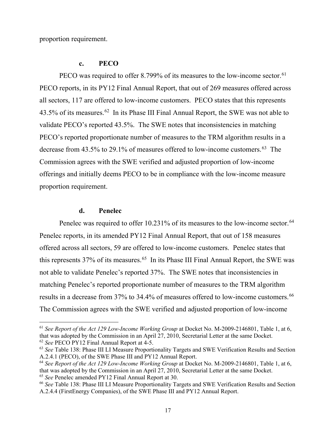proportion requirement.

# **c. PECO**

PECO was required to offer 8.799% of its measures to the low-income sector.<sup>[61](#page-16-0)</sup> PECO reports, in its PY12 Final Annual Report, that out of 269 measures offered across all sectors, 117 are offered to low-income customers. PECO states that this represents 43.5% of its measures.[62](#page-16-1) In its Phase III Final Annual Report, the SWE was not able to validate PECO's reported 43.5%. The SWE notes that inconsistencies in matching PECO's reported proportionate number of measures to the TRM algorithm results in a decrease from 43.5% to 29.1% of measures offered to low-income customers.<sup>[63](#page-16-2)</sup> The Commission agrees with the SWE verified and adjusted proportion of low-income offerings and initially deems PECO to be in compliance with the low-income measure proportion requirement.

#### **d. Penelec**

Penelec was required to offer  $10.231\%$  of its measures to the low-income sector.<sup>[64](#page-16-3)</sup> Penelec reports, in its amended PY12 Final Annual Report, that out of 158 measures offered across all sectors, 59 are offered to low-income customers. Penelec states that this represents  $37\%$  of its measures.<sup>[65](#page-16-4)</sup> In its Phase III Final Annual Report, the SWE was not able to validate Penelec's reported 37%. The SWE notes that inconsistencies in matching Penelec's reported proportionate number of measures to the TRM algorithm results in a decrease from 37% to 34.4% of measures offered to low-income customers. [66](#page-16-5)  The Commission agrees with the SWE verified and adjusted proportion of low-income

<span id="page-16-0"></span><sup>61</sup> *See Report of the Act 129 Low-Income Working Group* at Docket No. M-2009-2146801, Table 1, at 6, that was adopted by the Commission in an April 27, 2010, Secretarial Letter at the same Docket. <sup>62</sup> *See* PECO PY12 Final Annual Report at 4-5.

<span id="page-16-2"></span><span id="page-16-1"></span><sup>63</sup> *See* Table 138: Phase III LI Measure Proportionality Targets and SWE Verification Results and Section A.2.4.1 (PECO), of the SWE Phase III and PY12 Annual Report.

<span id="page-16-3"></span><sup>64</sup> *See Report of the Act 129 Low-Income Working Group* at Docket No. M-2009-2146801, Table 1, at 6, that was adopted by the Commission in an April 27, 2010, Secretarial Letter at the same Docket. <sup>65</sup> *See* Penelec amended PY12 Final Annual Report at 30.

<span id="page-16-5"></span><span id="page-16-4"></span><sup>66</sup> *See* Table 138: Phase III LI Measure Proportionality Targets and SWE Verification Results and Section A.2.4.4 (FirstEnergy Companies), of the SWE Phase III and PY12 Annual Report.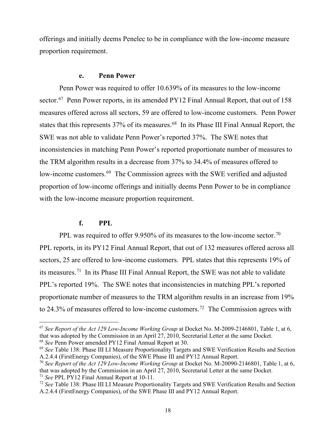offerings and initially deems Penelec to be in compliance with the low-income measure proportion requirement.

# **e. Penn Power**

Penn Power was required to offer 10.639% of its measures to the low-income sector.<sup>[67](#page-17-0)</sup> Penn Power reports, in its amended PY12 Final Annual Report, that out of 158 measures offered across all sectors, 59 are offered to low-income customers. Penn Power states that this represents 37% of its measures.<sup>[68](#page-17-1)</sup> In its Phase III Final Annual Report, the SWE was not able to validate Penn Power's reported 37%. The SWE notes that inconsistencies in matching Penn Power's reported proportionate number of measures to the TRM algorithm results in a decrease from 37% to 34.4% of measures offered to low-income customers.<sup>[69](#page-17-2)</sup> The Commission agrees with the SWE verified and adjusted proportion of low-income offerings and initially deems Penn Power to be in compliance with the low-income measure proportion requirement.

### **f. PPL**

PPL was required to offer 9.950% of its measures to the low-income sector.<sup>[70](#page-17-3)</sup> PPL reports, in its PY12 Final Annual Report, that out of 132 measures offered across all sectors, 25 are offered to low-income customers. PPL states that this represents 19% of its measures.[71](#page-17-4) In its Phase III Final Annual Report, the SWE was not able to validate PPL's reported 19%. The SWE notes that inconsistencies in matching PPL's reported proportionate number of measures to the TRM algorithm results in an increase from 19% to 24.3% of measures offered to low-income customers.<sup>72</sup> The Commission agrees with

<span id="page-17-4"></span><sup>71</sup> *See* PPL PY12 Final Annual Report at 10-11.

<span id="page-17-0"></span><sup>67</sup> *See Report of the Act 129 Low-Income Working Group* at Docket No. M-2009-2146801, Table 1, at 6, that was adopted by the Commission in an April 27, 2010, Secretarial Letter at the same Docket. <sup>68</sup> *See* Penn Power amended PY12 Final Annual Report at 30.

<span id="page-17-2"></span><span id="page-17-1"></span><sup>69</sup> *See* Table 138: Phase III LI Measure Proportionality Targets and SWE Verification Results and Section A.2.4.4 (FirstEnergy Companies), of the SWE Phase III and PY12 Annual Report.

<span id="page-17-3"></span><sup>70</sup> *See Report of the Act 129 Low-Income Working Group* at Docket No. M-20090-2146801, Table 1, at 6, that was adopted by the Commission in an April 27, 2010, Secretarial Letter at the same Docket.

<span id="page-17-5"></span><sup>72</sup> *See* Table 138: Phase III LI Measure Proportionality Targets and SWE Verification Results and Section A.2.4.4 (FirstEnergy Companies), of the SWE Phase III and PY12 Annual Report.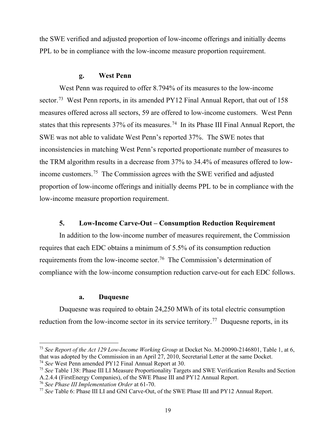the SWE verified and adjusted proportion of low-income offerings and initially deems PPL to be in compliance with the low-income measure proportion requirement.

# **g. West Penn**

West Penn was required to offer 8.794% of its measures to the low-income sector.<sup>[73](#page-18-0)</sup> West Penn reports, in its amended PY12 Final Annual Report, that out of 158 measures offered across all sectors, 59 are offered to low-income customers. West Penn states that this represents 37% of its measures.<sup>[74](#page-18-1)</sup> In its Phase III Final Annual Report, the SWE was not able to validate West Penn's reported 37%. The SWE notes that inconsistencies in matching West Penn's reported proportionate number of measures to the TRM algorithm results in a decrease from 37% to 34.4% of measures offered to lowincome customers. [75](#page-18-2) The Commission agrees with the SWE verified and adjusted proportion of low-income offerings and initially deems PPL to be in compliance with the low-income measure proportion requirement.

# **5. Low-Income Carve-Out – Consumption Reduction Requirement**

In addition to the low-income number of measures requirement, the Commission requires that each EDC obtains a minimum of 5.5% of its consumption reduction requirements from the low-income sector.<sup>[76](#page-18-3)</sup> The Commission's determination of compliance with the low-income consumption reduction carve-out for each EDC follows.

#### **a. Duquesne**

Duquesne was required to obtain 24,250 MWh of its total electric consumption reduction from the low-income sector in its service territory.<sup>77</sup> Duquesne reports, in its

<span id="page-18-0"></span><sup>73</sup> *See Report of the Act 129 Low-Income Working Group* at Docket No. M-20090-2146801, Table 1, at 6, that was adopted by the Commission in an April 27, 2010, Secretarial Letter at the same Docket.

<span id="page-18-1"></span><sup>74</sup> *See* West Penn amended PY12 Final Annual Report at 30.

<span id="page-18-2"></span><sup>75</sup> *See* Table 138: Phase III LI Measure Proportionality Targets and SWE Verification Results and Section A.2.4.4 (FirstEnergy Companies), of the SWE Phase III and PY12 Annual Report.

<span id="page-18-3"></span><sup>76</sup> *See Phase III Implementation Order* at 61-70.

<span id="page-18-4"></span><sup>77</sup> *See* Table 6: Phase III LI and GNI Carve-Out, of the SWE Phase III and PY12 Annual Report.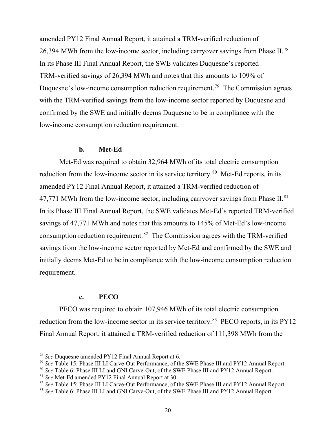amended PY12 Final Annual Report, it attained a TRM-verified reduction of 26,394 MWh from the low-income sector, including carryover savings from Phase II.<sup>[78](#page-19-0)</sup> In its Phase III Final Annual Report, the SWE validates Duquesne's reported TRM-verified savings of 26,394 MWh and notes that this amounts to 109% of Duquesne's low-income consumption reduction requirement.<sup>79</sup> The Commission agrees with the TRM-verified savings from the low-income sector reported by Duquesne and confirmed by the SWE and initially deems Duquesne to be in compliance with the low-income consumption reduction requirement.

#### **b. Met-Ed**

Met-Ed was required to obtain 32,964 MWh of its total electric consumption reduction from the low-income sector in its service territory.<sup>80</sup> Met-Ed reports, in its amended PY12 Final Annual Report, it attained a TRM-verified reduction of 47,771 MWh from the low-income sector, including carryover savings from Phase II. $81$ In its Phase III Final Annual Report, the SWE validates Met-Ed's reported TRM-verified savings of 47,771 MWh and notes that this amounts to 145% of Met-Ed's low-income consumption reduction requirement.<sup>[82](#page-19-4)</sup> The Commission agrees with the TRM-verified savings from the low-income sector reported by Met-Ed and confirmed by the SWE and initially deems Met-Ed to be in compliance with the low-income consumption reduction requirement.

#### **c. PECO**

PECO was required to obtain 107,946 MWh of its total electric consumption reduction from the low-income sector in its service territory.<sup>83</sup> PECO reports, in its PY12 Final Annual Report, it attained a TRM-verified reduction of 111,398 MWh from the

<span id="page-19-0"></span><sup>78</sup> *See* Duquesne amended PY12 Final Annual Report at 6.

<span id="page-19-1"></span><sup>79</sup> *See* Table 15: Phase III LI Carve-Out Performance, of the SWE Phase III and PY12 Annual Report.

<span id="page-19-2"></span><sup>80</sup> *See* Table 6: Phase III LI and GNI Carve-Out, of the SWE Phase III and PY12 Annual Report.

<span id="page-19-3"></span><sup>81</sup> *See* Met-Ed amended PY12 Final Annual Report at 30.

<span id="page-19-4"></span><sup>&</sup>lt;sup>82</sup> See Table 15: Phase III LI Carve-Out Performance, of the SWE Phase III and PY12 Annual Report.

<span id="page-19-5"></span><sup>83</sup> *See* Table 6: Phase III LI and GNI Carve-Out, of the SWE Phase III and PY12 Annual Report.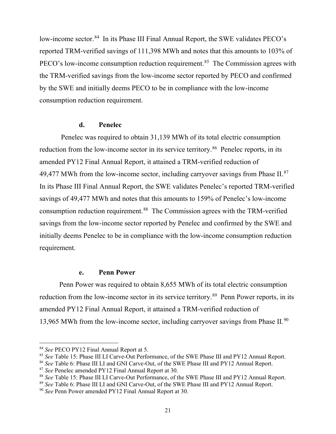low-income sector.<sup>[84](#page-20-0)</sup> In its Phase III Final Annual Report, the SWE validates PECO's reported TRM-verified savings of 111,398 MWh and notes that this amounts to 103% of PECO's low-income consumption reduction requirement.<sup>[85](#page-20-1)</sup> The Commission agrees with the TRM-verified savings from the low-income sector reported by PECO and confirmed by the SWE and initially deems PECO to be in compliance with the low-income consumption reduction requirement.

#### **d. Penelec**

Penelec was required to obtain 31,139 MWh of its total electric consumption reduction from the low-income sector in its service territory.<sup>86</sup> Penelec reports, in its amended PY12 Final Annual Report, it attained a TRM-verified reduction of 49,477 MWh from the low-income sector, including carryover savings from Phase II. $87$ In its Phase III Final Annual Report, the SWE validates Penelec's reported TRM-verified savings of 49,477 MWh and notes that this amounts to 159% of Penelec's low-income consumption reduction requirement.[88](#page-20-4) The Commission agrees with the TRM-verified savings from the low-income sector reported by Penelec and confirmed by the SWE and initially deems Penelec to be in compliance with the low-income consumption reduction requirement.

# **e. Penn Power**

Penn Power was required to obtain 8,655 MWh of its total electric consumption reduction from the low-income sector in its service territory.<sup>89</sup> Penn Power reports, in its amended PY12 Final Annual Report, it attained a TRM-verified reduction of 13,965 MWh from the low-income sector, including carryover savings from Phase II. $90$ 

<span id="page-20-0"></span><sup>84</sup> *See* PECO PY12 Final Annual Report at 5.

<span id="page-20-1"></span><sup>85</sup> *See* Table 15: Phase III LI Carve-Out Performance, of the SWE Phase III and PY12 Annual Report.

<span id="page-20-2"></span><sup>86</sup> *See* Table 6: Phase III LI and GNI Carve-Out, of the SWE Phase III and PY12 Annual Report.

<span id="page-20-3"></span><sup>87</sup> *See* Penelec amended PY12 Final Annual Report at 30.

<span id="page-20-4"></span><sup>88</sup> *See* Table 15: Phase III LI Carve-Out Performance, of the SWE Phase III and PY12 Annual Report.

<span id="page-20-5"></span><sup>89</sup> *See* Table 6: Phase III LI and GNI Carve-Out, of the SWE Phase III and PY12 Annual Report.

<span id="page-20-6"></span><sup>90</sup> *See* Penn Power amended PY12 Final Annual Report at 30.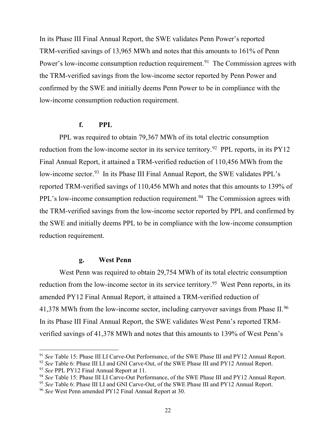In its Phase III Final Annual Report, the SWE validates Penn Power's reported TRM-verified savings of 13,965 MWh and notes that this amounts to 161% of Penn Power's low-income consumption reduction requirement.<sup>[91](#page-21-0)</sup> The Commission agrees with the TRM-verified savings from the low-income sector reported by Penn Power and confirmed by the SWE and initially deems Penn Power to be in compliance with the low-income consumption reduction requirement.

### **f. PPL**

PPL was required to obtain 79,367 MWh of its total electric consumption reduction from the low-income sector in its service territory.<sup>92</sup> PPL reports, in its PY12 Final Annual Report, it attained a TRM-verified reduction of 110,456 MWh from the low-income sector.<sup>[93](#page-21-2)</sup> In its Phase III Final Annual Report, the SWE validates PPL's reported TRM-verified savings of 110,456 MWh and notes that this amounts to 139% of PPL's low-income consumption reduction requirement.<sup>[94](#page-21-3)</sup> The Commission agrees with the TRM-verified savings from the low-income sector reported by PPL and confirmed by the SWE and initially deems PPL to be in compliance with the low-income consumption reduction requirement.

# **g. West Penn**

West Penn was required to obtain 29,754 MWh of its total electric consumption reduction from the low-income sector in its service territory.<sup>95</sup> West Penn reports, in its amended PY12 Final Annual Report, it attained a TRM-verified reduction of 41,378 MWh from the low-income sector, including carryover savings from Phase II. $96$ In its Phase III Final Annual Report, the SWE validates West Penn's reported TRMverified savings of 41,378 MWh and notes that this amounts to 139% of West Penn's

<span id="page-21-0"></span><sup>91</sup> *See* Table 15: Phase III LI Carve-Out Performance, of the SWE Phase III and PY12 Annual Report.

<span id="page-21-1"></span><sup>92</sup> *See* Table 6: Phase III LI and GNI Carve-Out, of the SWE Phase III and PY12 Annual Report.

<span id="page-21-2"></span><sup>93</sup> *See* PPL PY12 Final Annual Report at 11.

<span id="page-21-3"></span><sup>94</sup> *See* Table 15: Phase III LI Carve-Out Performance, of the SWE Phase III and PY12 Annual Report.

<span id="page-21-4"></span><sup>95</sup> *See* Table 6: Phase III LI and GNI Carve-Out, of the SWE Phase III and PY12 Annual Report.

<span id="page-21-5"></span><sup>96</sup> *See* West Penn amended PY12 Final Annual Report at 30.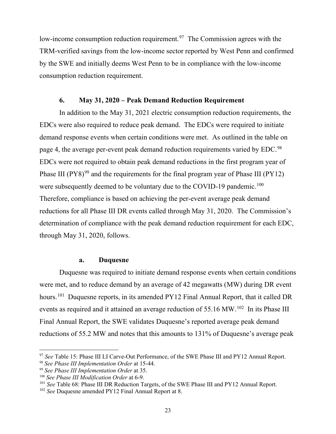low-income consumption reduction requirement.<sup>[97](#page-22-0)</sup> The Commission agrees with the TRM-verified savings from the low-income sector reported by West Penn and confirmed by the SWE and initially deems West Penn to be in compliance with the low-income consumption reduction requirement.

## **6. May 31, 2020 – Peak Demand Reduction Requirement**

In addition to the May 31, 2021 electric consumption reduction requirements, the EDCs were also required to reduce peak demand. The EDCs were required to initiate demand response events when certain conditions were met. As outlined in the table on page 4, the average per-event peak demand reduction requirements varied by EDC.<sup>[98](#page-22-1)</sup> EDCs were not required to obtain peak demand reductions in the first program year of Phase III  $(PY8)^{99}$  $(PY8)^{99}$  $(PY8)^{99}$  and the requirements for the final program year of Phase III  $(PY12)$ were subsequently deemed to be voluntary due to the COVID-19 pandemic.<sup>100</sup> Therefore, compliance is based on achieving the per-event average peak demand reductions for all Phase III DR events called through May 31, 2020. The Commission's determination of compliance with the peak demand reduction requirement for each EDC, through May 31, 2020, follows.

### **a. Duquesne**

Duquesne was required to initiate demand response events when certain conditions were met, and to reduce demand by an average of 42 megawatts (MW) during DR event hours.<sup>101</sup> Duquesne reports, in its amended PY12 Final Annual Report, that it called DR events as required and it attained an average reduction of 55.16 MW.<sup>102</sup> In its Phase III Final Annual Report, the SWE validates Duquesne's reported average peak demand reductions of 55.2 MW and notes that this amounts to 131% of Duquesne's average peak

<span id="page-22-0"></span><sup>97</sup> *See* Table 15: Phase III LI Carve-Out Performance, of the SWE Phase III and PY12 Annual Report.

<span id="page-22-1"></span><sup>98</sup> *See Phase III Implementation Order* at 15-44.

<span id="page-22-2"></span><sup>99</sup> *See Phase III Implementation Order* at 35.

<span id="page-22-3"></span><sup>100</sup> *See Phase III Modification Order* at 6-9.

<span id="page-22-4"></span><sup>101</sup> *See* Table 68: Phase III DR Reduction Targets, of the SWE Phase III and PY12 Annual Report.

<span id="page-22-5"></span><sup>102</sup> *See* Duquesne amended PY12 Final Annual Report at 8.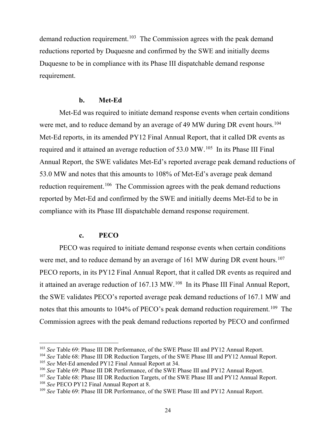demand reduction requirement.<sup>[103](#page-23-0)</sup> The Commission agrees with the peak demand reductions reported by Duquesne and confirmed by the SWE and initially deems Duquesne to be in compliance with its Phase III dispatchable demand response requirement.

#### **b. Met-Ed**

Met-Ed was required to initiate demand response events when certain conditions were met, and to reduce demand by an average of 49 MW during DR event hours.<sup>104</sup> Met-Ed reports, in its amended PY12 Final Annual Report, that it called DR events as required and it attained an average reduction of 53.0 MW.[105](#page-23-2) In its Phase III Final Annual Report, the SWE validates Met-Ed's reported average peak demand reductions of 53.0 MW and notes that this amounts to 108% of Met-Ed's average peak demand reduction requirement.<sup>106</sup> The Commission agrees with the peak demand reductions reported by Met-Ed and confirmed by the SWE and initially deems Met-Ed to be in compliance with its Phase III dispatchable demand response requirement.

#### **c. PECO**

PECO was required to initiate demand response events when certain conditions were met, and to reduce demand by an average of 161 MW during DR event hours.<sup>[107](#page-23-4)</sup> PECO reports, in its PY12 Final Annual Report, that it called DR events as required and it attained an average reduction of 167.13 MW.<sup>[108](#page-23-5)</sup> In its Phase III Final Annual Report, the SWE validates PECO's reported average peak demand reductions of 167.1 MW and notes that this amounts to 104% of PECO's peak demand reduction requirement.<sup>109</sup> The Commission agrees with the peak demand reductions reported by PECO and confirmed

<span id="page-23-0"></span><sup>&</sup>lt;sup>103</sup> *See* Table 69: Phase III DR Performance, of the SWE Phase III and PY12 Annual Report.

<span id="page-23-1"></span><sup>104</sup> *See* Table 68: Phase III DR Reduction Targets, of the SWE Phase III and PY12 Annual Report.

<span id="page-23-2"></span><sup>105</sup> *See* Met-Ed amended PY12 Final Annual Report at 34.

<span id="page-23-3"></span><sup>106</sup> *See* Table 69: Phase III DR Performance, of the SWE Phase III and PY12 Annual Report.

<span id="page-23-4"></span><sup>107</sup> *See* Table 68: Phase III DR Reduction Targets, of the SWE Phase III and PY12 Annual Report.

<span id="page-23-5"></span><sup>108</sup> *See* PECO PY12 Final Annual Report at 8.

<span id="page-23-6"></span><sup>109</sup> *See* Table 69: Phase III DR Performance, of the SWE Phase III and PY12 Annual Report.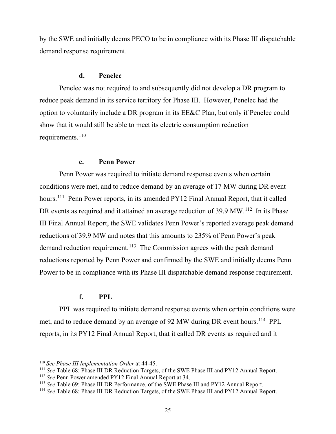by the SWE and initially deems PECO to be in compliance with its Phase III dispatchable demand response requirement.

# **d. Penelec**

Penelec was not required to and subsequently did not develop a DR program to reduce peak demand in its service territory for Phase III. However, Penelec had the option to voluntarily include a DR program in its EE&C Plan, but only if Penelec could show that it would still be able to meet its electric consumption reduction requirements.<sup>[110](#page-24-0)</sup>

#### **e. Penn Power**

Penn Power was required to initiate demand response events when certain conditions were met, and to reduce demand by an average of 17 MW during DR event hours.<sup>111</sup> Penn Power reports, in its amended PY12 Final Annual Report, that it called DR events as required and it attained an average reduction of 39.9 MW.<sup>112</sup> In its Phase III Final Annual Report, the SWE validates Penn Power's reported average peak demand reductions of 39.9 MW and notes that this amounts to 235% of Penn Power's peak demand reduction requirement.<sup>[113](#page-24-3)</sup> The Commission agrees with the peak demand reductions reported by Penn Power and confirmed by the SWE and initially deems Penn Power to be in compliance with its Phase III dispatchable demand response requirement.

### **f. PPL**

PPL was required to initiate demand response events when certain conditions were met, and to reduce demand by an average of 92 MW during DR event hours.<sup>[114](#page-24-4)</sup> PPL reports, in its PY12 Final Annual Report, that it called DR events as required and it

<span id="page-24-0"></span><sup>110</sup> *See Phase III Implementation Order* at 44-45.

<span id="page-24-1"></span><sup>111</sup> *See* Table 68: Phase III DR Reduction Targets, of the SWE Phase III and PY12 Annual Report.

<span id="page-24-2"></span><sup>112</sup> *See* Penn Power amended PY12 Final Annual Report at 34.

<span id="page-24-3"></span><sup>113</sup> *See* Table 69: Phase III DR Performance, of the SWE Phase III and PY12 Annual Report.

<span id="page-24-4"></span><sup>114</sup> *See* Table 68: Phase III DR Reduction Targets, of the SWE Phase III and PY12 Annual Report.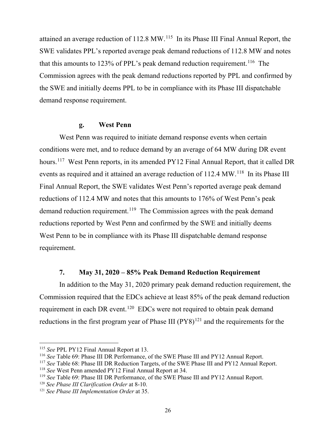attained an average reduction of 112.8 MW.[115](#page-25-0) In its Phase III Final Annual Report, the SWE validates PPL's reported average peak demand reductions of 112.8 MW and notes that this amounts to 123% of PPL's peak demand reduction requirement.<sup>[116](#page-25-1)</sup> The Commission agrees with the peak demand reductions reported by PPL and confirmed by the SWE and initially deems PPL to be in compliance with its Phase III dispatchable demand response requirement.

### **g. West Penn**

West Penn was required to initiate demand response events when certain conditions were met, and to reduce demand by an average of 64 MW during DR event hours.<sup>117</sup> West Penn reports, in its amended PY12 Final Annual Report, that it called DR events as required and it attained an average reduction of 112.4 MW.<sup>118</sup> In its Phase III Final Annual Report, the SWE validates West Penn's reported average peak demand reductions of 112.4 MW and notes that this amounts to 176% of West Penn's peak demand reduction requirement.<sup>[119](#page-25-4)</sup> The Commission agrees with the peak demand reductions reported by West Penn and confirmed by the SWE and initially deems West Penn to be in compliance with its Phase III dispatchable demand response requirement.

# **7. May 31, 2020 – 85% Peak Demand Reduction Requirement**

In addition to the May 31, 2020 primary peak demand reduction requirement, the Commission required that the EDCs achieve at least 85% of the peak demand reduction requirement in each DR event.<sup>120</sup> EDCs were not required to obtain peak demand reductions in the first program year of Phase III  $(PY8)^{121}$  $(PY8)^{121}$  $(PY8)^{121}$  and the requirements for the

<span id="page-25-0"></span><sup>115</sup> *See* PPL PY12 Final Annual Report at 13.

<span id="page-25-1"></span><sup>116</sup> *See* Table 69: Phase III DR Performance, of the SWE Phase III and PY12 Annual Report.

<span id="page-25-2"></span><sup>117</sup> *See* Table 68: Phase III DR Reduction Targets, of the SWE Phase III and PY12 Annual Report.

<span id="page-25-3"></span><sup>118</sup> *See* West Penn amended PY12 Final Annual Report at 34.

<span id="page-25-4"></span><sup>119</sup> *See* Table 69: Phase III DR Performance, of the SWE Phase III and PY12 Annual Report.

<span id="page-25-5"></span><sup>120</sup> *See Phase III Clarification Order* at 8-10.

<span id="page-25-6"></span><sup>121</sup> *See Phase III Implementation Order* at 35.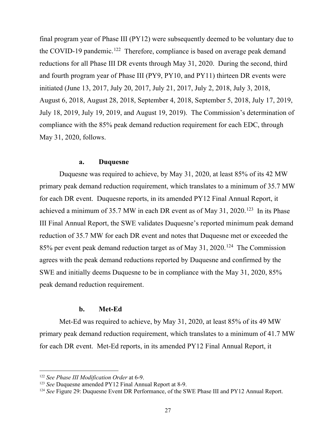final program year of Phase III (PY12) were subsequently deemed to be voluntary due to the COVID-19 pandemic.<sup>[122](#page-26-0)</sup> Therefore, compliance is based on average peak demand reductions for all Phase III DR events through May 31, 2020. During the second, third and fourth program year of Phase III (PY9, PY10, and PY11) thirteen DR events were initiated (June 13, 2017, July 20, 2017, July 21, 2017, July 2, 2018, July 3, 2018, August 6, 2018, August 28, 2018, September 4, 2018, September 5, 2018, July 17, 2019, July 18, 2019, July 19, 2019, and August 19, 2019). The Commission's determination of compliance with the 85% peak demand reduction requirement for each EDC, through May 31, 2020, follows.

#### **a. Duquesne**

Duquesne was required to achieve, by May 31, 2020, at least 85% of its 42 MW primary peak demand reduction requirement, which translates to a minimum of 35.7 MW for each DR event. Duquesne reports, in its amended PY12 Final Annual Report, it achieved a minimum of 35.7 MW in each DR event as of May 31, 2020.<sup>[123](#page-26-1)</sup> In its Phase III Final Annual Report, the SWE validates Duquesne's reported minimum peak demand reduction of 35.7 MW for each DR event and notes that Duquesne met or exceeded the 85% per event peak demand reduction target as of May 31, 2020.<sup>[124](#page-26-2)</sup> The Commission agrees with the peak demand reductions reported by Duquesne and confirmed by the SWE and initially deems Duquesne to be in compliance with the May 31, 2020, 85% peak demand reduction requirement.

#### **b. Met-Ed**

Met-Ed was required to achieve, by May 31, 2020, at least 85% of its 49 MW primary peak demand reduction requirement, which translates to a minimum of 41.7 MW for each DR event. Met-Ed reports, in its amended PY12 Final Annual Report, it

<span id="page-26-0"></span><sup>122</sup> *See Phase III Modification Order* at 6-9.

<span id="page-26-1"></span><sup>123</sup> *See* Duquesne amended PY12 Final Annual Report at 8-9.

<span id="page-26-2"></span><sup>124</sup> *See* Figure 29: Duquesne Event DR Performance, of the SWE Phase III and PY12 Annual Report.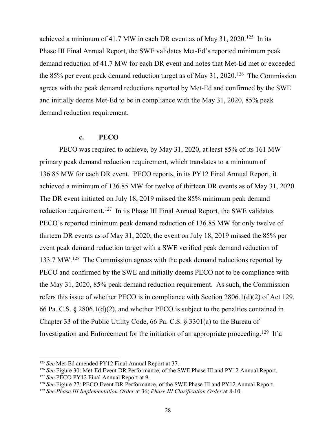achieved a minimum of 41.7 MW in each DR event as of May 31, 2020.<sup>[125](#page-27-0)</sup> In its Phase III Final Annual Report, the SWE validates Met-Ed's reported minimum peak demand reduction of 41.7 MW for each DR event and notes that Met-Ed met or exceeded the 85% per event peak demand reduction target as of May 31, 2020.<sup>[126](#page-27-1)</sup> The Commission agrees with the peak demand reductions reported by Met-Ed and confirmed by the SWE and initially deems Met-Ed to be in compliance with the May 31, 2020, 85% peak demand reduction requirement.

#### **c. PECO**

PECO was required to achieve, by May 31, 2020, at least 85% of its 161 MW primary peak demand reduction requirement, which translates to a minimum of 136.85 MW for each DR event. PECO reports, in its PY12 Final Annual Report, it achieved a minimum of 136.85 MW for twelve of thirteen DR events as of May 31, 2020. The DR event initiated on July 18, 2019 missed the 85% minimum peak demand reduction requirement.<sup>127</sup> In its Phase III Final Annual Report, the SWE validates PECO's reported minimum peak demand reduction of 136.85 MW for only twelve of thirteen DR events as of May 31, 2020; the event on July 18, 2019 missed the 85% per event peak demand reduction target with a SWE verified peak demand reduction of 133.7 MW.<sup>[128](#page-27-3)</sup> The Commission agrees with the peak demand reductions reported by PECO and confirmed by the SWE and initially deems PECO not to be compliance with the May 31, 2020, 85% peak demand reduction requirement. As such, the Commission refers this issue of whether PECO is in compliance with Section 2806.1(d)(2) of Act 129, 66 Pa. C.S. § 2806.1(d)(2), and whether PECO is subject to the penalties contained in Chapter 33 of the Public Utility Code, 66 Pa. C.S. § 3301(a) to the Bureau of Investigation and Enforcement for the initiation of an appropriate proceeding.[129](#page-27-4) If a

<span id="page-27-0"></span><sup>125</sup> *See* Met-Ed amended PY12 Final Annual Report at 37.

<span id="page-27-1"></span><sup>126</sup> *See* Figure 30: Met-Ed Event DR Performance, of the SWE Phase III and PY12 Annual Report.

<span id="page-27-2"></span><sup>127</sup> *See* PECO PY12 Final Annual Report at 9.

<span id="page-27-3"></span><sup>128</sup> *See* Figure 27: PECO Event DR Performance, of the SWE Phase III and PY12 Annual Report.

<span id="page-27-4"></span><sup>129</sup> *See Phase III Implementation Order* at 36; *Phase III Clarification Order* at 8-10.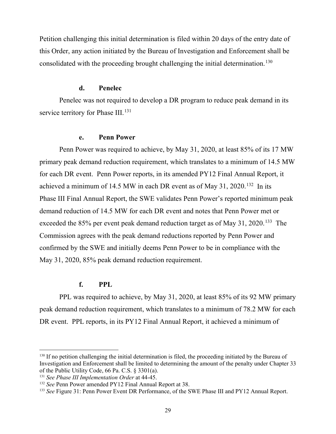Petition challenging this initial determination is filed within 20 days of the entry date of this Order, any action initiated by the Bureau of Investigation and Enforcement shall be consolidated with the proceeding brought challenging the initial determination.<sup>[130](#page-28-0)</sup>

# **d. Penelec**

Penelec was not required to develop a DR program to reduce peak demand in its service territory for Phase III.<sup>[131](#page-28-1)</sup>

### **e. Penn Power**

Penn Power was required to achieve, by May 31, 2020, at least 85% of its 17 MW primary peak demand reduction requirement, which translates to a minimum of 14.5 MW for each DR event. Penn Power reports, in its amended PY12 Final Annual Report, it achieved a minimum of 14.5 MW in each DR event as of May 31, 2020.[132](#page-28-2) In its Phase III Final Annual Report, the SWE validates Penn Power's reported minimum peak demand reduction of 14.5 MW for each DR event and notes that Penn Power met or exceeded the 85% per event peak demand reduction target as of May 31, 2020.<sup>[133](#page-28-3)</sup> The Commission agrees with the peak demand reductions reported by Penn Power and confirmed by the SWE and initially deems Penn Power to be in compliance with the May 31, 2020, 85% peak demand reduction requirement.

# **f. PPL**

PPL was required to achieve, by May 31, 2020, at least 85% of its 92 MW primary peak demand reduction requirement, which translates to a minimum of 78.2 MW for each DR event. PPL reports, in its PY12 Final Annual Report, it achieved a minimum of

<span id="page-28-0"></span><sup>&</sup>lt;sup>130</sup> If no petition challenging the initial determination is filed, the proceeding initiated by the Bureau of Investigation and Enforcement shall be limited to determining the amount of the penalty under Chapter 33 of the Public Utility Code, 66 Pa. C.S. § 3301(a).

<span id="page-28-1"></span><sup>131</sup> *See Phase III Implementation Order* at 44-45.

<span id="page-28-2"></span><sup>132</sup> *See* Penn Power amended PY12 Final Annual Report at 38.

<span id="page-28-3"></span><sup>133</sup> *See* Figure 31: Penn Power Event DR Performance, of the SWE Phase III and PY12 Annual Report.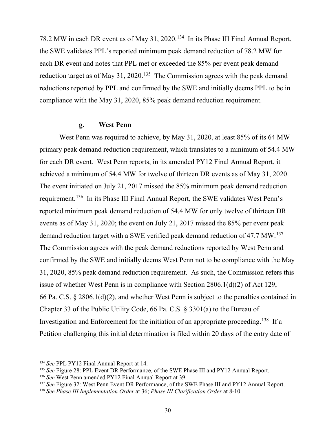78.2 MW in each DR event as of May 31, 2020.[134](#page-29-0) In its Phase III Final Annual Report, the SWE validates PPL's reported minimum peak demand reduction of 78.2 MW for each DR event and notes that PPL met or exceeded the 85% per event peak demand reduction target as of May 31, 2020.<sup>135</sup> The Commission agrees with the peak demand reductions reported by PPL and confirmed by the SWE and initially deems PPL to be in compliance with the May 31, 2020, 85% peak demand reduction requirement.

### **g. West Penn**

West Penn was required to achieve, by May 31, 2020, at least 85% of its 64 MW primary peak demand reduction requirement, which translates to a minimum of 54.4 MW for each DR event. West Penn reports, in its amended PY12 Final Annual Report, it achieved a minimum of 54.4 MW for twelve of thirteen DR events as of May 31, 2020. The event initiated on July 21, 2017 missed the 85% minimum peak demand reduction requirement.[136](#page-29-2) In its Phase III Final Annual Report, the SWE validates West Penn's reported minimum peak demand reduction of 54.4 MW for only twelve of thirteen DR events as of May 31, 2020; the event on July 21, 2017 missed the 85% per event peak demand reduction target with a SWE verified peak demand reduction of 47.7 MW. [137](#page-29-3)  The Commission agrees with the peak demand reductions reported by West Penn and confirmed by the SWE and initially deems West Penn not to be compliance with the May 31, 2020, 85% peak demand reduction requirement. As such, the Commission refers this issue of whether West Penn is in compliance with Section 2806.1(d)(2) of Act 129, 66 Pa. C.S. § 2806.1(d)(2), and whether West Penn is subject to the penalties contained in Chapter 33 of the Public Utility Code, 66 Pa. C.S. § 3301(a) to the Bureau of Investigation and Enforcement for the initiation of an appropriate proceeding.<sup>138</sup> If a Petition challenging this initial determination is filed within 20 days of the entry date of

<span id="page-29-0"></span><sup>134</sup> *See* PPL PY12 Final Annual Report at 14.

<span id="page-29-1"></span><sup>&</sup>lt;sup>135</sup> See Figure 28: PPL Event DR Performance, of the SWE Phase III and PY12 Annual Report.

<span id="page-29-2"></span><sup>136</sup> *See* West Penn amended PY12 Final Annual Report at 39.

<span id="page-29-3"></span><sup>137</sup> *See* Figure 32: West Penn Event DR Performance, of the SWE Phase III and PY12 Annual Report.

<span id="page-29-4"></span><sup>138</sup> *See Phase III Implementation Order* at 36; *Phase III Clarification Order* at 8-10.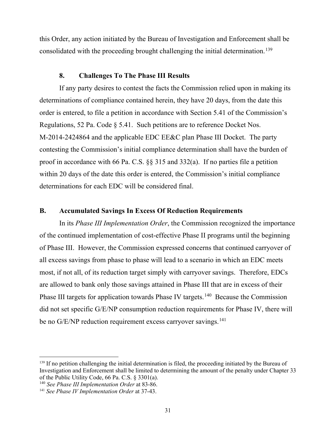this Order, any action initiated by the Bureau of Investigation and Enforcement shall be consolidated with the proceeding brought challenging the initial determination.<sup>[139](#page-30-0)</sup>

# **8. Challenges To The Phase III Results**

If any party desires to contest the facts the Commission relied upon in making its determinations of compliance contained herein, they have 20 days, from the date this order is entered, to file a petition in accordance with Section 5.41 of the Commission's Regulations, 52 Pa. Code § 5.41. Such petitions are to reference Docket Nos. M-2014-2424864 and the applicable EDC EE&C plan Phase III Docket. The party contesting the Commission's initial compliance determination shall have the burden of proof in accordance with 66 Pa. C.S. §§ 315 and 332(a). If no parties file a petition within 20 days of the date this order is entered, the Commission's initial compliance determinations for each EDC will be considered final.

### **B. Accumulated Savings In Excess Of Reduction Requirements**

In its *Phase III Implementation Order*, the Commission recognized the importance of the continued implementation of cost-effective Phase II programs until the beginning of Phase III. However, the Commission expressed concerns that continued carryover of all excess savings from phase to phase will lead to a scenario in which an EDC meets most, if not all, of its reduction target simply with carryover savings. Therefore, EDCs are allowed to bank only those savings attained in Phase III that are in excess of their Phase III targets for application towards Phase IV targets.<sup>140</sup> Because the Commission did not set specific G/E/NP consumption reduction requirements for Phase IV, there will be no G/E/NP reduction requirement excess carryover savings.<sup>[141](#page-30-2)</sup>

<span id="page-30-0"></span><sup>&</sup>lt;sup>139</sup> If no petition challenging the initial determination is filed, the proceeding initiated by the Bureau of Investigation and Enforcement shall be limited to determining the amount of the penalty under Chapter 33 of the Public Utility Code, 66 Pa. C.S. § 3301(a).

<span id="page-30-1"></span><sup>140</sup> *See Phase III Implementation Order* at 83-86.

<span id="page-30-2"></span><sup>141</sup> *See Phase IV Implementation Order* at 37-43.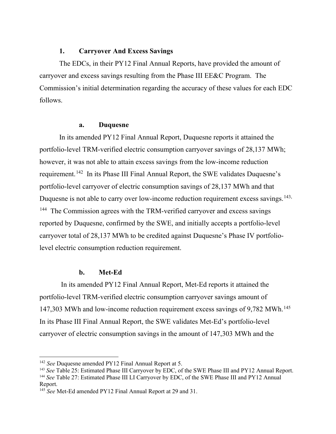# **1. Carryover And Excess Savings**

The EDCs, in their PY12 Final Annual Reports, have provided the amount of carryover and excess savings resulting from the Phase III EE&C Program. The Commission's initial determination regarding the accuracy of these values for each EDC follows.

#### **a. Duquesne**

In its amended PY12 Final Annual Report, Duquesne reports it attained the portfolio-level TRM-verified electric consumption carryover savings of 28,137 MWh; however, it was not able to attain excess savings from the low-income reduction requirement.<sup>142</sup> In its Phase III Final Annual Report, the SWE validates Duquesne's portfolio-level carryover of electric consumption savings of 28,137 MWh and that Duquesne is not able to carry over low-income reduction requirement excess savings.<sup>[143](#page-31-1),</sup> <sup>[144](#page-31-2)</sup> The Commission agrees with the TRM-verified carryover and excess savings reported by Duquesne, confirmed by the SWE, and initially accepts a portfolio-level carryover total of 28,137 MWh to be credited against Duquesne's Phase IV portfoliolevel electric consumption reduction requirement.

# **b. Met-Ed**

In its amended PY12 Final Annual Report, Met-Ed reports it attained the portfolio-level TRM-verified electric consumption carryover savings amount of 147,303 MWh and low-income reduction requirement excess savings of 9,782 MWh. [145](#page-31-3)  In its Phase III Final Annual Report, the SWE validates Met-Ed's portfolio-level carryover of electric consumption savings in the amount of 147,303 MWh and the

<span id="page-31-0"></span><sup>142</sup> *See* Duquesne amended PY12 Final Annual Report at 5.

<span id="page-31-1"></span><sup>143</sup> *See* Table 25: Estimated Phase III Carryover by EDC, of the SWE Phase III and PY12 Annual Report.

<span id="page-31-2"></span><sup>144</sup> *See* Table 27: Estimated Phase III LI Carryover by EDC, of the SWE Phase III and PY12 Annual Report.

<span id="page-31-3"></span><sup>&</sup>lt;sup>145</sup> See Met-Ed amended PY12 Final Annual Report at 29 and 31.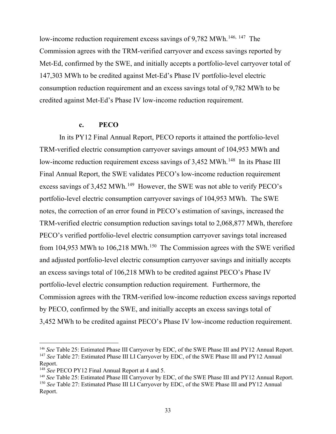low-income reduction requirement excess savings of 9,782 MWh.<sup>[146,](#page-32-0) 147</sup> The Commission agrees with the TRM-verified carryover and excess savings reported by Met-Ed, confirmed by the SWE, and initially accepts a portfolio-level carryover total of 147,303 MWh to be credited against Met-Ed's Phase IV portfolio-level electric consumption reduction requirement and an excess savings total of 9,782 MWh to be credited against Met-Ed's Phase IV low-income reduction requirement.

### **c. PECO**

In its PY12 Final Annual Report, PECO reports it attained the portfolio-level TRM-verified electric consumption carryover savings amount of 104,953 MWh and low-income reduction requirement excess savings of 3,452 MWh.<sup>148</sup> In its Phase III Final Annual Report, the SWE validates PECO's low-income reduction requirement excess savings of 3,452 MWh.<sup>[149](#page-32-3)</sup> However, the SWE was not able to verify PECO's portfolio-level electric consumption carryover savings of 104,953 MWh. The SWE notes, the correction of an error found in PECO's estimation of savings, increased the TRM-verified electric consumption reduction savings total to 2,068,877 MWh, therefore PECO's verified portfolio-level electric consumption carryover savings total increased from 104,953 MWh to 106,218 MWh.[150](#page-32-4) The Commission agrees with the SWE verified and adjusted portfolio-level electric consumption carryover savings and initially accepts an excess savings total of 106,218 MWh to be credited against PECO's Phase IV portfolio-level electric consumption reduction requirement. Furthermore, the Commission agrees with the TRM-verified low-income reduction excess savings reported by PECO, confirmed by the SWE, and initially accepts an excess savings total of 3,452 MWh to be credited against PECO's Phase IV low-income reduction requirement.

<span id="page-32-1"></span><span id="page-32-0"></span><sup>146</sup> *See* Table 25: Estimated Phase III Carryover by EDC, of the SWE Phase III and PY12 Annual Report. <sup>147</sup> *See* Table 27: Estimated Phase III LI Carryover by EDC, of the SWE Phase III and PY12 Annual Report.

<span id="page-32-2"></span><sup>148</sup> *See* PECO PY12 Final Annual Report at 4 and 5.

<span id="page-32-4"></span><span id="page-32-3"></span><sup>149</sup> *See* Table 25: Estimated Phase III Carryover by EDC, of the SWE Phase III and PY12 Annual Report. <sup>150</sup> *See* Table 27: Estimated Phase III LI Carryover by EDC, of the SWE Phase III and PY12 Annual Report.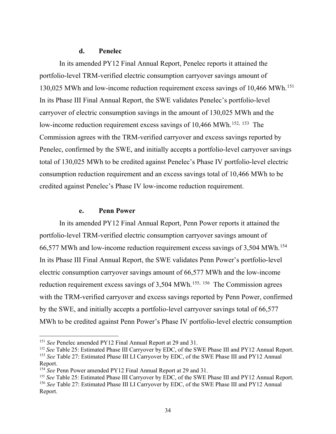### **d. Penelec**

In its amended PY12 Final Annual Report, Penelec reports it attained the portfolio-level TRM-verified electric consumption carryover savings amount of 130,025 MWh and low-income reduction requirement excess savings of 10,466 MWh.[151](#page-33-0) In its Phase III Final Annual Report, the SWE validates Penelec's portfolio-level carryover of electric consumption savings in the amount of 130,025 MWh and the low-income reduction requirement excess savings of 10,466 MWh.<sup>[152](#page-33-1), [153](#page-33-2)</sup> The Commission agrees with the TRM-verified carryover and excess savings reported by Penelec, confirmed by the SWE, and initially accepts a portfolio-level carryover savings total of 130,025 MWh to be credited against Penelec's Phase IV portfolio-level electric consumption reduction requirement and an excess savings total of 10,466 MWh to be credited against Penelec's Phase IV low-income reduction requirement.

#### **e. Penn Power**

In its amended PY12 Final Annual Report, Penn Power reports it attained the portfolio-level TRM-verified electric consumption carryover savings amount of 66,577 MWh and low-income reduction requirement excess savings of 3,504 MWh.[154](#page-33-3) In its Phase III Final Annual Report, the SWE validates Penn Power's portfolio-level electric consumption carryover savings amount of 66,577 MWh and the low-income reduction requirement excess savings of 3,504 MWh.<sup>[155](#page-33-4), [156](#page-33-5)</sup> The Commission agrees with the TRM-verified carryover and excess savings reported by Penn Power, confirmed by the SWE, and initially accepts a portfolio-level carryover savings total of 66,577 MWh to be credited against Penn Power's Phase IV portfolio-level electric consumption

<span id="page-33-0"></span><sup>151</sup> *See* Penelec amended PY12 Final Annual Report at 29 and 31.

<span id="page-33-2"></span><span id="page-33-1"></span><sup>&</sup>lt;sup>152</sup> See Table 25: Estimated Phase III Carryover by EDC, of the SWE Phase III and PY12 Annual Report. <sup>153</sup> See Table 27: Estimated Phase III LI Carryover by EDC, of the SWE Phase III and PY12 Annual Report.

<span id="page-33-3"></span><sup>154</sup> *See* Penn Power amended PY12 Final Annual Report at 29 and 31.

<span id="page-33-5"></span><span id="page-33-4"></span><sup>155</sup> *See* Table 25: Estimated Phase III Carryover by EDC, of the SWE Phase III and PY12 Annual Report. <sup>156</sup> *See* Table 27: Estimated Phase III LI Carryover by EDC, of the SWE Phase III and PY12 Annual Report.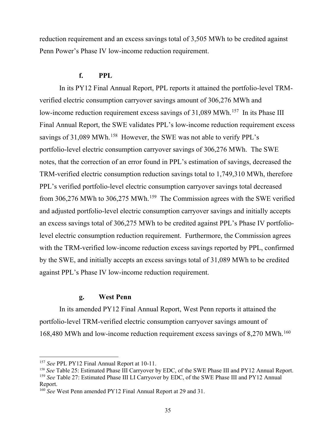reduction requirement and an excess savings total of 3,505 MWh to be credited against Penn Power's Phase IV low-income reduction requirement.

# **f. PPL**

In its PY12 Final Annual Report, PPL reports it attained the portfolio-level TRMverified electric consumption carryover savings amount of 306,276 MWh and low-income reduction requirement excess savings of 31,089 MWh.<sup>[157](#page-34-0)</sup> In its Phase III Final Annual Report, the SWE validates PPL's low-income reduction requirement excess savings of 31,089 MWh.<sup>[158](#page-34-1)</sup> However, the SWE was not able to verify PPL's portfolio-level electric consumption carryover savings of 306,276 MWh. The SWE notes, that the correction of an error found in PPL's estimation of savings, decreased the TRM-verified electric consumption reduction savings total to 1,749,310 MWh, therefore PPL's verified portfolio-level electric consumption carryover savings total decreased from 306,276 MWh to 306,275 MWh.[159](#page-34-2) The Commission agrees with the SWE verified and adjusted portfolio-level electric consumption carryover savings and initially accepts an excess savings total of 306,275 MWh to be credited against PPL's Phase IV portfoliolevel electric consumption reduction requirement. Furthermore, the Commission agrees with the TRM-verified low-income reduction excess savings reported by PPL, confirmed by the SWE, and initially accepts an excess savings total of 31,089 MWh to be credited against PPL's Phase IV low-income reduction requirement.

### **g. West Penn**

In its amended PY12 Final Annual Report, West Penn reports it attained the portfolio-level TRM-verified electric consumption carryover savings amount of 168,480 MWh and low-income reduction requirement excess savings of 8,270 MWh.[160](#page-34-3) 

<span id="page-34-0"></span><sup>157</sup> *See* PPL PY12 Final Annual Report at 10-11.

<span id="page-34-1"></span><sup>158</sup> *See* Table 25: Estimated Phase III Carryover by EDC, of the SWE Phase III and PY12 Annual Report.

<span id="page-34-2"></span><sup>159</sup> *See* Table 27: Estimated Phase III LI Carryover by EDC, of the SWE Phase III and PY12 Annual Report.

<span id="page-34-3"></span><sup>160</sup> *See* West Penn amended PY12 Final Annual Report at 29 and 31.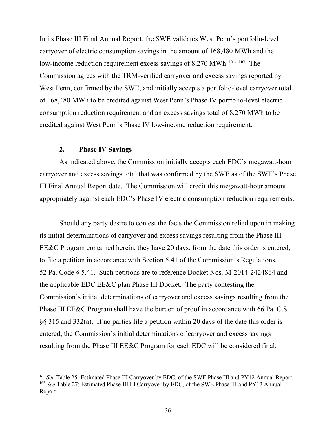In its Phase III Final Annual Report, the SWE validates West Penn's portfolio-level carryover of electric consumption savings in the amount of 168,480 MWh and the low-income reduction requirement excess savings of 8,270 MWh.<sup>[161,](#page-35-0) 162</sup> The Commission agrees with the TRM-verified carryover and excess savings reported by West Penn, confirmed by the SWE, and initially accepts a portfolio-level carryover total of 168,480 MWh to be credited against West Penn's Phase IV portfolio-level electric consumption reduction requirement and an excess savings total of 8,270 MWh to be credited against West Penn's Phase IV low-income reduction requirement.

### **2. Phase IV Savings**

As indicated above, the Commission initially accepts each EDC's megawatt-hour carryover and excess savings total that was confirmed by the SWE as of the SWE's Phase III Final Annual Report date. The Commission will credit this megawatt-hour amount appropriately against each EDC's Phase IV electric consumption reduction requirements.

Should any party desire to contest the facts the Commission relied upon in making its initial determinations of carryover and excess savings resulting from the Phase III EE&C Program contained herein, they have 20 days, from the date this order is entered, to file a petition in accordance with Section 5.41 of the Commission's Regulations, 52 Pa. Code § 5.41. Such petitions are to reference Docket Nos. M-2014-2424864 and the applicable EDC EE&C plan Phase III Docket. The party contesting the Commission's initial determinations of carryover and excess savings resulting from the Phase III EE&C Program shall have the burden of proof in accordance with 66 Pa. C.S. §§ 315 and 332(a). If no parties file a petition within 20 days of the date this order is entered, the Commission's initial determinations of carryover and excess savings resulting from the Phase III EE&C Program for each EDC will be considered final.

<span id="page-35-1"></span><span id="page-35-0"></span><sup>161</sup> *See* Table 25: Estimated Phase III Carryover by EDC, of the SWE Phase III and PY12 Annual Report. <sup>162</sup> *See* Table 27: Estimated Phase III LI Carryover by EDC, of the SWE Phase III and PY12 Annual Report.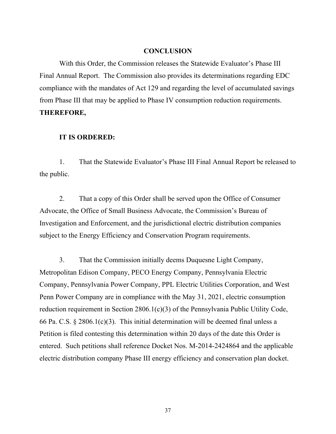#### **CONCLUSION**

With this Order, the Commission releases the Statewide Evaluator's Phase III Final Annual Report. The Commission also provides its determinations regarding EDC compliance with the mandates of Act 129 and regarding the level of accumulated savings from Phase III that may be applied to Phase IV consumption reduction requirements. **THEREFORE,**

#### **IT IS ORDERED:**

1. That the Statewide Evaluator's Phase III Final Annual Report be released to the public.

2. That a copy of this Order shall be served upon the Office of Consumer Advocate, the Office of Small Business Advocate, the Commission's Bureau of Investigation and Enforcement, and the jurisdictional electric distribution companies subject to the Energy Efficiency and Conservation Program requirements.

3. That the Commission initially deems Duquesne Light Company, Metropolitan Edison Company, PECO Energy Company, Pennsylvania Electric Company, Pennsylvania Power Company, PPL Electric Utilities Corporation, and West Penn Power Company are in compliance with the May 31, 2021, electric consumption reduction requirement in Section 2806.1(c)(3) of the Pennsylvania Public Utility Code, 66 Pa. C.S.  $\S 2806.1(c)(3)$ . This initial determination will be deemed final unless a Petition is filed contesting this determination within 20 days of the date this Order is entered. Such petitions shall reference Docket Nos. M-2014-2424864 and the applicable electric distribution company Phase III energy efficiency and conservation plan docket.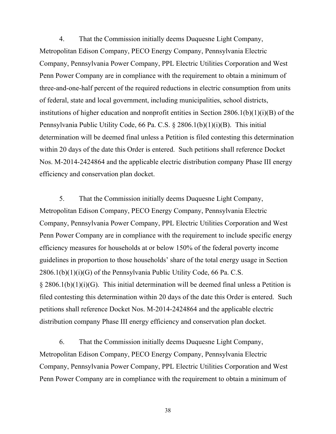4. That the Commission initially deems Duquesne Light Company, Metropolitan Edison Company, PECO Energy Company, Pennsylvania Electric Company, Pennsylvania Power Company, PPL Electric Utilities Corporation and West Penn Power Company are in compliance with the requirement to obtain a minimum of three-and-one-half percent of the required reductions in electric consumption from units of federal, state and local government, including municipalities, school districts, institutions of higher education and nonprofit entities in Section  $2806.1(b)(1)(i)(B)$  of the Pennsylvania Public Utility Code, 66 Pa. C.S. § 2806.1(b)(1)(i)(B). This initial determination will be deemed final unless a Petition is filed contesting this determination within 20 days of the date this Order is entered. Such petitions shall reference Docket Nos. M-2014-2424864 and the applicable electric distribution company Phase III energy efficiency and conservation plan docket.

5. That the Commission initially deems Duquesne Light Company, Metropolitan Edison Company, PECO Energy Company, Pennsylvania Electric Company, Pennsylvania Power Company, PPL Electric Utilities Corporation and West Penn Power Company are in compliance with the requirement to include specific energy efficiency measures for households at or below 150% of the federal poverty income guidelines in proportion to those households' share of the total energy usage in Section  $2806.1(b)(1)(i)(G)$  of the Pennsylvania Public Utility Code, 66 Pa. C.S.  $\S 2806.1(b)(1)(i)(G)$ . This initial determination will be deemed final unless a Petition is filed contesting this determination within 20 days of the date this Order is entered. Such petitions shall reference Docket Nos. M-2014-2424864 and the applicable electric distribution company Phase III energy efficiency and conservation plan docket.

6. That the Commission initially deems Duquesne Light Company, Metropolitan Edison Company, PECO Energy Company, Pennsylvania Electric Company, Pennsylvania Power Company, PPL Electric Utilities Corporation and West Penn Power Company are in compliance with the requirement to obtain a minimum of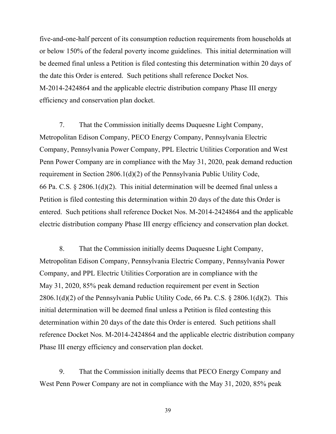five-and-one-half percent of its consumption reduction requirements from households at or below 150% of the federal poverty income guidelines. This initial determination will be deemed final unless a Petition is filed contesting this determination within 20 days of the date this Order is entered. Such petitions shall reference Docket Nos. M-2014-2424864 and the applicable electric distribution company Phase III energy efficiency and conservation plan docket.

7. That the Commission initially deems Duquesne Light Company, Metropolitan Edison Company, PECO Energy Company, Pennsylvania Electric Company, Pennsylvania Power Company, PPL Electric Utilities Corporation and West Penn Power Company are in compliance with the May 31, 2020, peak demand reduction requirement in Section 2806.1(d)(2) of the Pennsylvania Public Utility Code, 66 Pa. C.S.  $\S 2806.1(d)(2)$ . This initial determination will be deemed final unless a Petition is filed contesting this determination within 20 days of the date this Order is entered. Such petitions shall reference Docket Nos. M-2014-2424864 and the applicable electric distribution company Phase III energy efficiency and conservation plan docket.

8. That the Commission initially deems Duquesne Light Company, Metropolitan Edison Company, Pennsylvania Electric Company, Pennsylvania Power Company, and PPL Electric Utilities Corporation are in compliance with the May 31, 2020, 85% peak demand reduction requirement per event in Section 2806.1(d)(2) of the Pennsylvania Public Utility Code, 66 Pa. C.S. § 2806.1(d)(2). This initial determination will be deemed final unless a Petition is filed contesting this determination within 20 days of the date this Order is entered. Such petitions shall reference Docket Nos. M-2014-2424864 and the applicable electric distribution company Phase III energy efficiency and conservation plan docket.

9. That the Commission initially deems that PECO Energy Company and West Penn Power Company are not in compliance with the May 31, 2020, 85% peak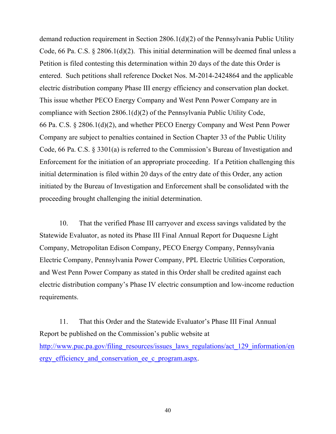demand reduction requirement in Section 2806.1(d)(2) of the Pennsylvania Public Utility Code, 66 Pa. C.S. § 2806.1(d)(2). This initial determination will be deemed final unless a Petition is filed contesting this determination within 20 days of the date this Order is entered. Such petitions shall reference Docket Nos. M-2014-2424864 and the applicable electric distribution company Phase III energy efficiency and conservation plan docket. This issue whether PECO Energy Company and West Penn Power Company are in compliance with Section 2806.1(d)(2) of the Pennsylvania Public Utility Code, 66 Pa. C.S. § 2806.1(d)(2), and whether PECO Energy Company and West Penn Power Company are subject to penalties contained in Section Chapter 33 of the Public Utility Code, 66 Pa. C.S. § 3301(a) is referred to the Commission's Bureau of Investigation and Enforcement for the initiation of an appropriate proceeding. If a Petition challenging this initial determination is filed within 20 days of the entry date of this Order, any action initiated by the Bureau of Investigation and Enforcement shall be consolidated with the proceeding brought challenging the initial determination.

10. That the verified Phase III carryover and excess savings validated by the Statewide Evaluator, as noted its Phase III Final Annual Report for Duquesne Light Company, Metropolitan Edison Company, PECO Energy Company, Pennsylvania Electric Company, Pennsylvania Power Company, PPL Electric Utilities Corporation, and West Penn Power Company as stated in this Order shall be credited against each electric distribution company's Phase IV electric consumption and low-income reduction requirements.

11. That this Order and the Statewide Evaluator's Phase III Final Annual Report be published on the Commission's public website at [http://www.puc.pa.gov/filing\\_resources/issues\\_laws\\_regulations/act\\_129\\_information/en](http://www.puc.pa.gov/filing_resources/issues_laws_regulations/act_129_information/energy_efficiency_and_conservation_ee_c_program.aspx) ergy efficiency and conservation ee c program.aspx.